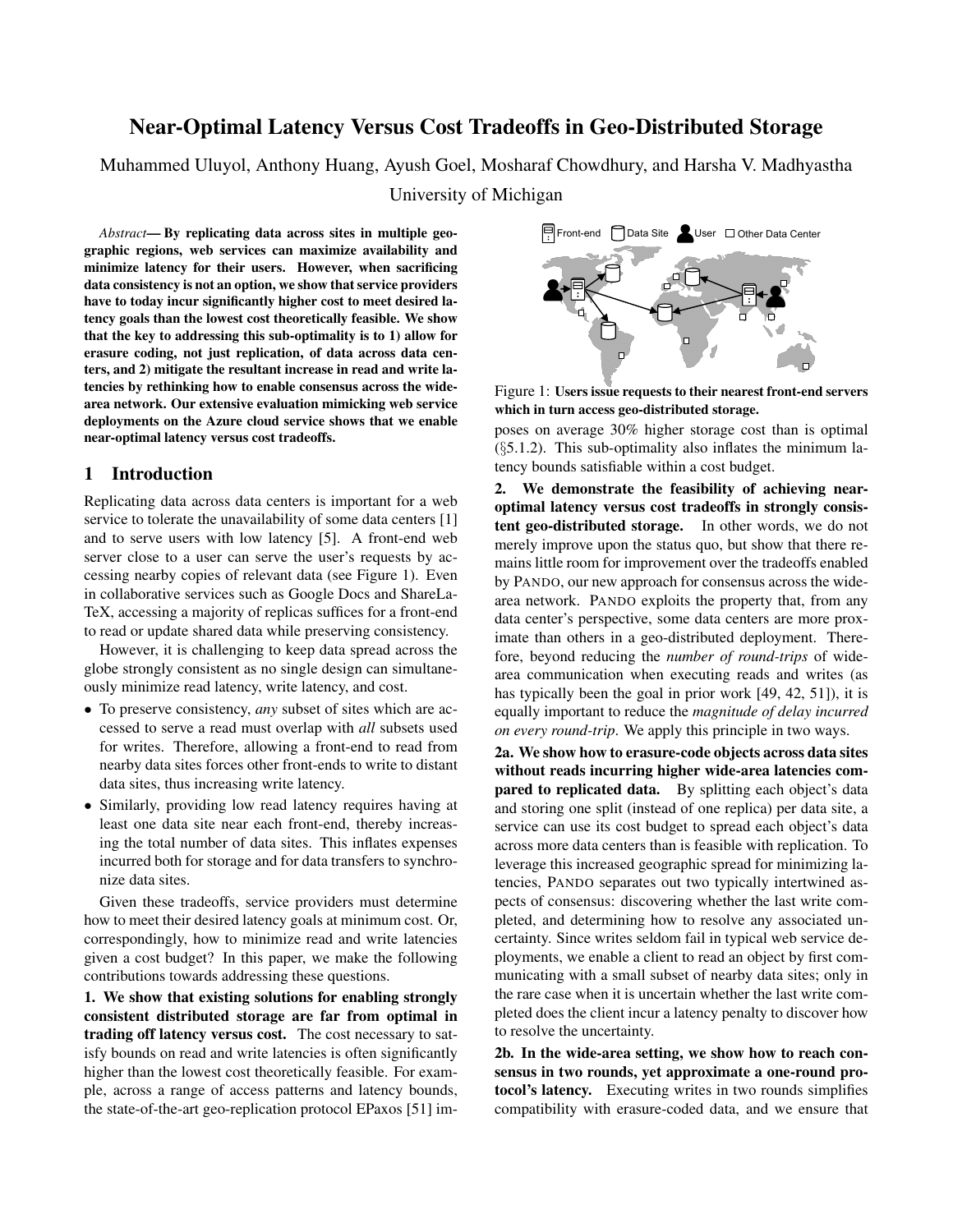# Near-Optimal Latency Versus Cost Tradeoffs in Geo-Distributed Storage

Muhammed Uluyol, Anthony Huang, Ayush Goel, Mosharaf Chowdhury, and Harsha V. Madhyastha

University of Michigan

*Abstract*— By replicating data across sites in multiple geographic regions, web services can maximize availability and minimize latency for their users. However, when sacrificing data consistency is not an option, we show that service providers have to today incur significantly higher cost to meet desired latency goals than the lowest cost theoretically feasible. We show that the key to addressing this sub-optimality is to 1) allow for erasure coding, not just replication, of data across data centers, and 2) mitigate the resultant increase in read and write latencies by rethinking how to enable consensus across the widearea network. Our extensive evaluation mimicking web service deployments on the Azure cloud service shows that we enable near-optimal latency versus cost tradeoffs.

# 1 Introduction

Replicating data across data centers is important for a web service to tolerate the unavailability of some data centers [1] and to serve users with low latency [5]. A front-end web server close to a user can serve the user's requests by accessing nearby copies of relevant data (see Figure 1). Even in collaborative services such as Google Docs and ShareLa-TeX, accessing a majority of replicas suffices for a front-end to read or update shared data while preserving consistency.

However, it is challenging to keep data spread across the globe strongly consistent as no single design can simultaneously minimize read latency, write latency, and cost.

- To preserve consistency, *any* subset of sites which are accessed to serve a read must overlap with *all* subsets used for writes. Therefore, allowing a front-end to read from nearby data sites forces other front-ends to write to distant data sites, thus increasing write latency.
- Similarly, providing low read latency requires having at least one data site near each front-end, thereby increasing the total number of data sites. This inflates expenses incurred both for storage and for data transfers to synchronize data sites.

Given these tradeoffs, service providers must determine how to meet their desired latency goals at minimum cost. Or, correspondingly, how to minimize read and write latencies given a cost budget? In this paper, we make the following contributions towards addressing these questions.

1. We show that existing solutions for enabling strongly consistent distributed storage are far from optimal in trading off latency versus cost. The cost necessary to satisfy bounds on read and write latencies is often significantly higher than the lowest cost theoretically feasible. For example, across a range of access patterns and latency bounds, the state-of-the-art geo-replication protocol EPaxos [51] im-



Figure 1: Users issue requests to their nearest front-end servers which in turn access geo-distributed storage.

poses on average 30% higher storage cost than is optimal (§5.1.2). This sub-optimality also inflates the minimum latency bounds satisfiable within a cost budget.

2. We demonstrate the feasibility of achieving nearoptimal latency versus cost tradeoffs in strongly consistent geo-distributed storage. In other words, we do not merely improve upon the status quo, but show that there remains little room for improvement over the tradeoffs enabled by PANDO, our new approach for consensus across the widearea network. PANDO exploits the property that, from any data center's perspective, some data centers are more proximate than others in a geo-distributed deployment. Therefore, beyond reducing the *number of round-trips* of widearea communication when executing reads and writes (as has typically been the goal in prior work [49, 42, 51]), it is equally important to reduce the *magnitude of delay incurred on every round-trip*. We apply this principle in two ways.

2a. We show how to erasure-code objects across data sites without reads incurring higher wide-area latencies compared to replicated data. By splitting each object's data and storing one split (instead of one replica) per data site, a service can use its cost budget to spread each object's data across more data centers than is feasible with replication. To leverage this increased geographic spread for minimizing latencies, PANDO separates out two typically intertwined aspects of consensus: discovering whether the last write completed, and determining how to resolve any associated uncertainty. Since writes seldom fail in typical web service deployments, we enable a client to read an object by first communicating with a small subset of nearby data sites; only in the rare case when it is uncertain whether the last write completed does the client incur a latency penalty to discover how to resolve the uncertainty.

2b. In the wide-area setting, we show how to reach consensus in two rounds, yet approximate a one-round protocol's latency. Executing writes in two rounds simplifies compatibility with erasure-coded data, and we ensure that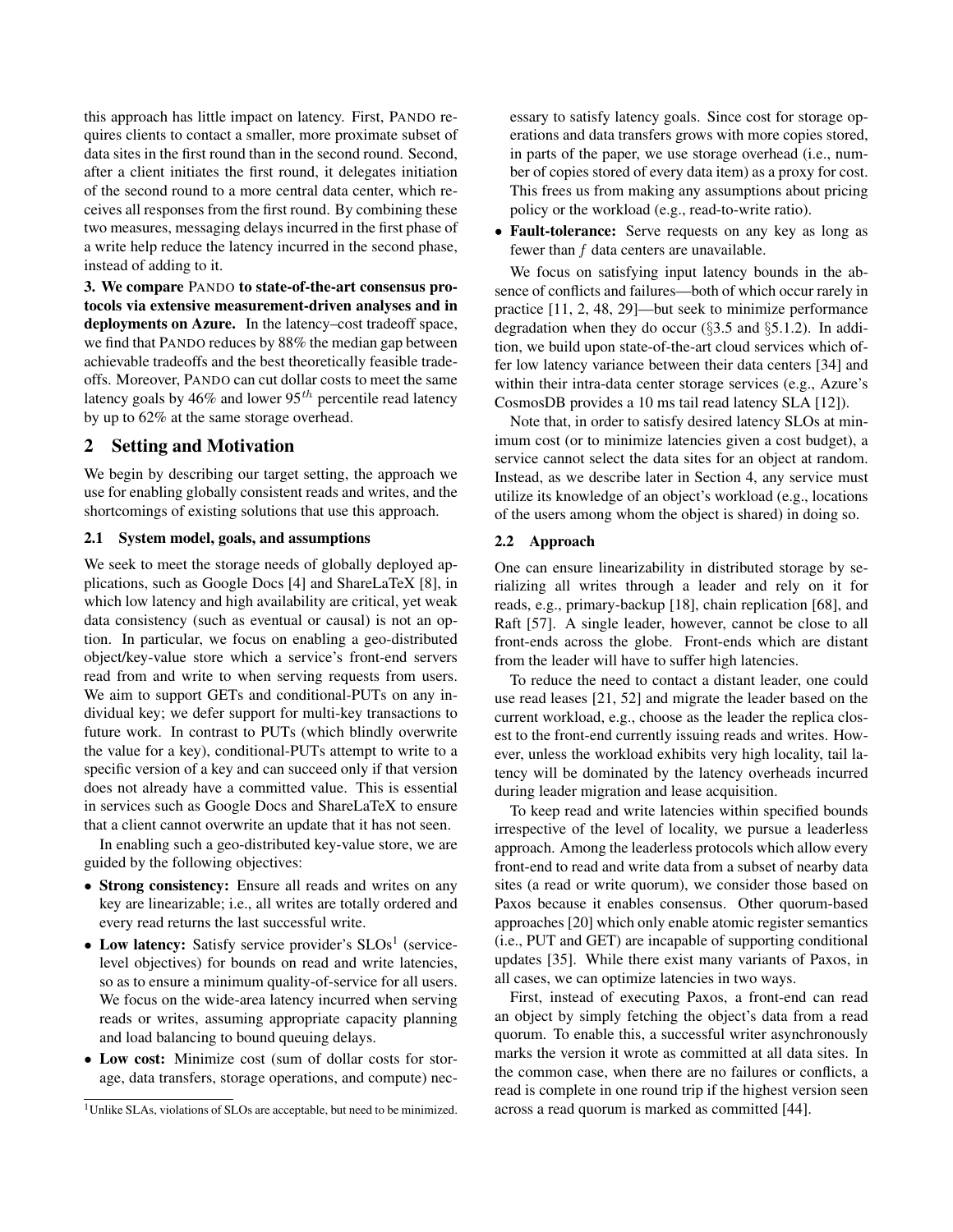this approach has little impact on latency. First, PANDO requires clients to contact a smaller, more proximate subset of data sites in the first round than in the second round. Second, after a client initiates the first round, it delegates initiation of the second round to a more central data center, which receives all responses from the first round. By combining these two measures, messaging delays incurred in the first phase of a write help reduce the latency incurred in the second phase, instead of adding to it.

3. We compare PANDO to state-of-the-art consensus protocols via extensive measurement-driven analyses and in deployments on Azure. In the latency–cost tradeoff space, we find that PANDO reduces by 88% the median gap between achievable tradeoffs and the best theoretically feasible tradeoffs. Moreover, PANDO can cut dollar costs to meet the same latency goals by  $46\%$  and lower  $95<sup>th</sup>$  percentile read latency by up to 62% at the same storage overhead.

# 2 Setting and Motivation

We begin by describing our target setting, the approach we use for enabling globally consistent reads and writes, and the shortcomings of existing solutions that use this approach.

### 2.1 System model, goals, and assumptions

We seek to meet the storage needs of globally deployed applications, such as Google Docs [4] and ShareLaTeX [8], in which low latency and high availability are critical, yet weak data consistency (such as eventual or causal) is not an option. In particular, we focus on enabling a geo-distributed object/key-value store which a service's front-end servers read from and write to when serving requests from users. We aim to support GETs and conditional-PUTs on any individual key; we defer support for multi-key transactions to future work. In contrast to PUTs (which blindly overwrite the value for a key), conditional-PUTs attempt to write to a specific version of a key and can succeed only if that version does not already have a committed value. This is essential in services such as Google Docs and ShareLaTeX to ensure that a client cannot overwrite an update that it has not seen.

In enabling such a geo-distributed key-value store, we are guided by the following objectives:

- Strong consistency: Ensure all reads and writes on any key are linearizable; i.e., all writes are totally ordered and every read returns the last successful write.
- Low latency: Satisfy service provider's  $SLOs<sup>1</sup>$  (servicelevel objectives) for bounds on read and write latencies, so as to ensure a minimum quality-of-service for all users. We focus on the wide-area latency incurred when serving reads or writes, assuming appropriate capacity planning and load balancing to bound queuing delays.
- Low cost: Minimize cost (sum of dollar costs for storage, data transfers, storage operations, and compute) nec-

essary to satisfy latency goals. Since cost for storage operations and data transfers grows with more copies stored, in parts of the paper, we use storage overhead (i.e., number of copies stored of every data item) as a proxy for cost. This frees us from making any assumptions about pricing policy or the workload (e.g., read-to-write ratio).

• Fault-tolerance: Serve requests on any key as long as fewer than  $f$  data centers are unavailable.

We focus on satisfying input latency bounds in the absence of conflicts and failures—both of which occur rarely in practice [11, 2, 48, 29]—but seek to minimize performance degradation when they do occur (§3.5 and §5.1.2). In addition, we build upon state-of-the-art cloud services which offer low latency variance between their data centers [34] and within their intra-data center storage services (e.g., Azure's CosmosDB provides a 10 ms tail read latency SLA [12]).

Note that, in order to satisfy desired latency SLOs at minimum cost (or to minimize latencies given a cost budget), a service cannot select the data sites for an object at random. Instead, as we describe later in Section 4, any service must utilize its knowledge of an object's workload (e.g., locations of the users among whom the object is shared) in doing so.

#### 2.2 Approach

One can ensure linearizability in distributed storage by serializing all writes through a leader and rely on it for reads, e.g., primary-backup [18], chain replication [68], and Raft [57]. A single leader, however, cannot be close to all front-ends across the globe. Front-ends which are distant from the leader will have to suffer high latencies.

To reduce the need to contact a distant leader, one could use read leases [21, 52] and migrate the leader based on the current workload, e.g., choose as the leader the replica closest to the front-end currently issuing reads and writes. However, unless the workload exhibits very high locality, tail latency will be dominated by the latency overheads incurred during leader migration and lease acquisition.

To keep read and write latencies within specified bounds irrespective of the level of locality, we pursue a leaderless approach. Among the leaderless protocols which allow every front-end to read and write data from a subset of nearby data sites (a read or write quorum), we consider those based on Paxos because it enables consensus. Other quorum-based approaches [20] which only enable atomic register semantics (i.e., PUT and GET) are incapable of supporting conditional updates [35]. While there exist many variants of Paxos, in all cases, we can optimize latencies in two ways.

First, instead of executing Paxos, a front-end can read an object by simply fetching the object's data from a read quorum. To enable this, a successful writer asynchronously marks the version it wrote as committed at all data sites. In the common case, when there are no failures or conflicts, a read is complete in one round trip if the highest version seen across a read quorum is marked as committed [44].

<sup>&</sup>lt;sup>1</sup>Unlike SLAs, violations of SLOs are acceptable, but need to be minimized.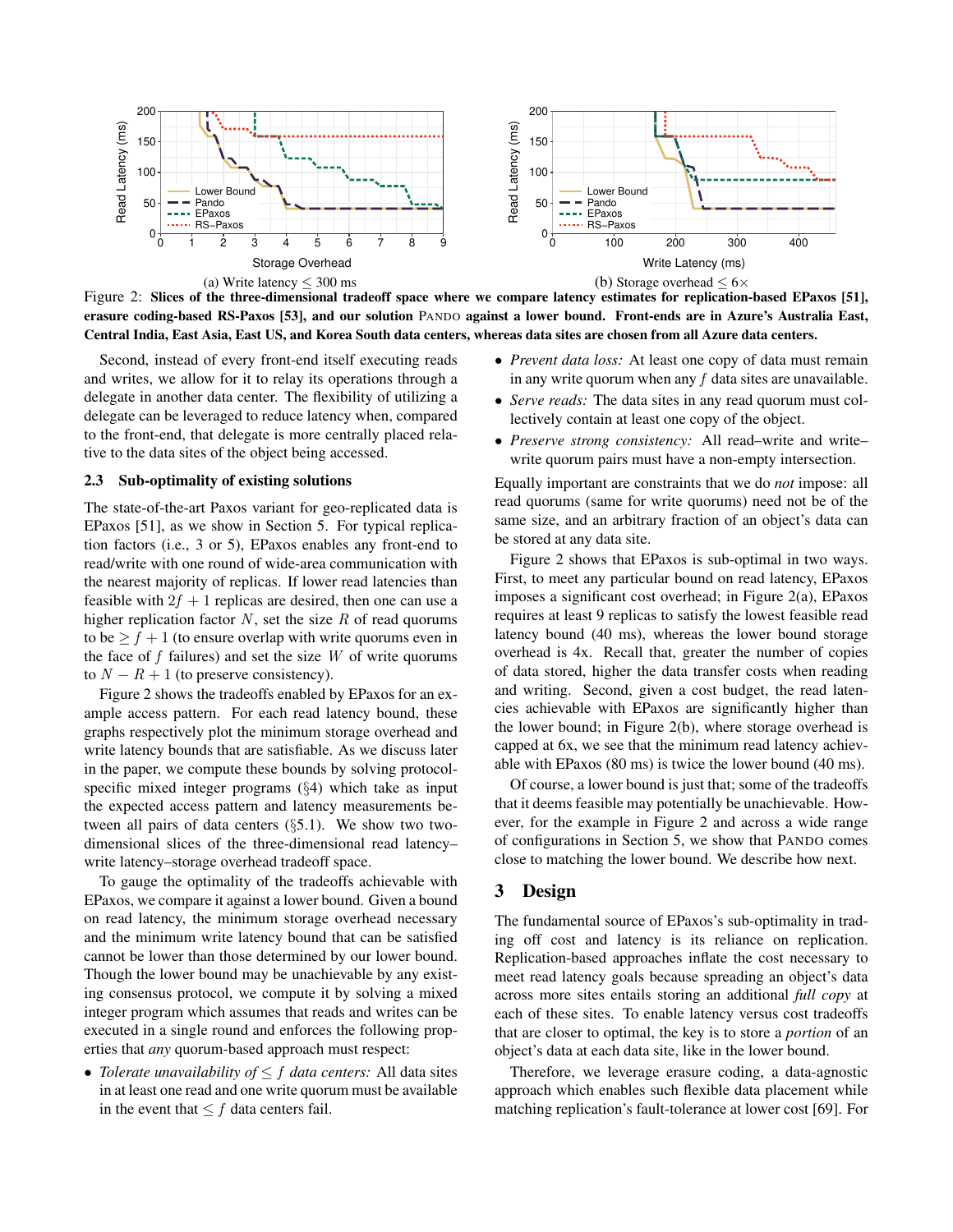

Figure 2: Slices of the three-dimensional tradeoff space where we compare latency estimates for replication-based EPaxos [51], erasure coding-based RS-Paxos [53], and our solution PANDO against a lower bound. Front-ends are in Azure's Australia East, Central India, East Asia, East US, and Korea South data centers, whereas data sites are chosen from all Azure data centers.

Second, instead of every front-end itself executing reads and writes, we allow for it to relay its operations through a delegate in another data center. The flexibility of utilizing a delegate can be leveraged to reduce latency when, compared to the front-end, that delegate is more centrally placed relative to the data sites of the object being accessed.

### 2.3 Sub-optimality of existing solutions

The state-of-the-art Paxos variant for geo-replicated data is EPaxos [51], as we show in Section 5. For typical replication factors (i.e., 3 or 5), EPaxos enables any front-end to read/write with one round of wide-area communication with the nearest majority of replicas. If lower read latencies than feasible with  $2f + 1$  replicas are desired, then one can use a higher replication factor  $N$ , set the size  $R$  of read quorums to be  $\geq f + 1$  (to ensure overlap with write quorums even in the face of  $f$  failures) and set the size  $W$  of write quorums to  $N - R + 1$  (to preserve consistency).

Figure 2 shows the tradeoffs enabled by EPaxos for an example access pattern. For each read latency bound, these graphs respectively plot the minimum storage overhead and write latency bounds that are satisfiable. As we discuss later in the paper, we compute these bounds by solving protocolspecific mixed integer programs (§4) which take as input the expected access pattern and latency measurements between all pairs of data centers (§5.1). We show two twodimensional slices of the three-dimensional read latency– write latency–storage overhead tradeoff space.

To gauge the optimality of the tradeoffs achievable with EPaxos, we compare it against a lower bound. Given a bound on read latency, the minimum storage overhead necessary and the minimum write latency bound that can be satisfied cannot be lower than those determined by our lower bound. Though the lower bound may be unachievable by any existing consensus protocol, we compute it by solving a mixed integer program which assumes that reads and writes can be executed in a single round and enforces the following properties that *any* quorum-based approach must respect:

• *Tolerate unavailability of* ≤ f *data centers:* All data sites in at least one read and one write quorum must be available in the event that  $\leq f$  data centers fail.

- *Prevent data loss:* At least one copy of data must remain in any write quorum when any  $f$  data sites are unavailable.
- *Serve reads:* The data sites in any read quorum must collectively contain at least one copy of the object.
- *Preserve strong consistency:* All read–write and write– write quorum pairs must have a non-empty intersection.

Equally important are constraints that we do *not* impose: all read quorums (same for write quorums) need not be of the same size, and an arbitrary fraction of an object's data can be stored at any data site.

Figure 2 shows that EPaxos is sub-optimal in two ways. First, to meet any particular bound on read latency, EPaxos imposes a significant cost overhead; in Figure 2(a), EPaxos requires at least 9 replicas to satisfy the lowest feasible read latency bound (40 ms), whereas the lower bound storage overhead is 4x. Recall that, greater the number of copies of data stored, higher the data transfer costs when reading and writing. Second, given a cost budget, the read latencies achievable with EPaxos are significantly higher than the lower bound; in Figure 2(b), where storage overhead is capped at 6x, we see that the minimum read latency achievable with EPaxos (80 ms) is twice the lower bound (40 ms).

Of course, a lower bound is just that; some of the tradeoffs that it deems feasible may potentially be unachievable. However, for the example in Figure 2 and across a wide range of configurations in Section 5, we show that PANDO comes close to matching the lower bound. We describe how next.

## 3 Design

The fundamental source of EPaxos's sub-optimality in trading off cost and latency is its reliance on replication. Replication-based approaches inflate the cost necessary to meet read latency goals because spreading an object's data across more sites entails storing an additional *full copy* at each of these sites. To enable latency versus cost tradeoffs that are closer to optimal, the key is to store a *portion* of an object's data at each data site, like in the lower bound.

Therefore, we leverage erasure coding, a data-agnostic approach which enables such flexible data placement while matching replication's fault-tolerance at lower cost [69]. For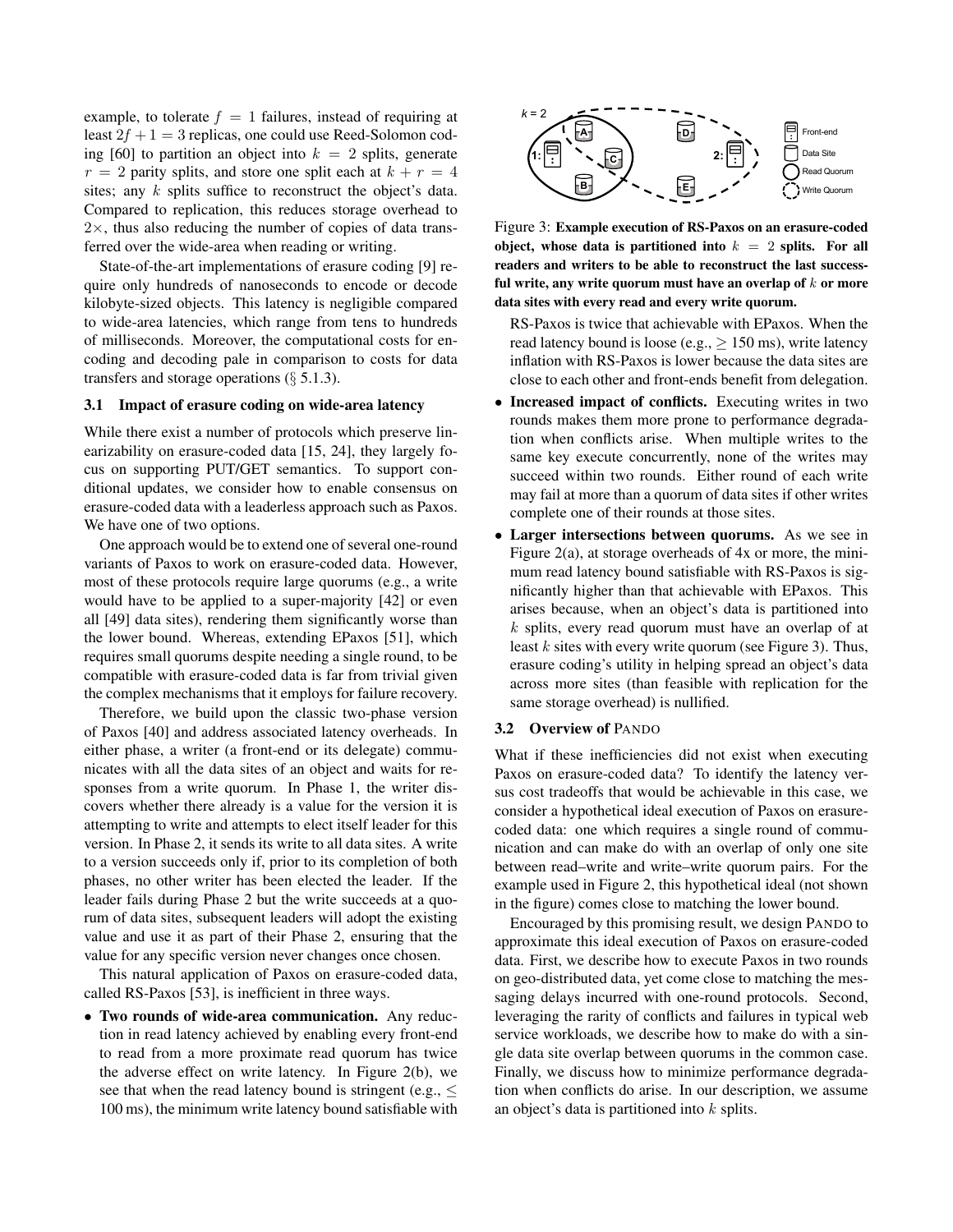example, to tolerate  $f = 1$  failures, instead of requiring at least  $2f + 1 = 3$  replicas, one could use Reed-Solomon coding [60] to partition an object into  $k = 2$  splits, generate  $r = 2$  parity splits, and store one split each at  $k + r = 4$ sites; any k splits suffice to reconstruct the object's data. Compared to replication, this reduces storage overhead to  $2\times$ , thus also reducing the number of copies of data transferred over the wide-area when reading or writing.

State-of-the-art implementations of erasure coding [9] require only hundreds of nanoseconds to encode or decode kilobyte-sized objects. This latency is negligible compared to wide-area latencies, which range from tens to hundreds of milliseconds. Moreover, the computational costs for encoding and decoding pale in comparison to costs for data transfers and storage operations  $(\S 5.1.3)$ .

#### 3.1 Impact of erasure coding on wide-area latency

While there exist a number of protocols which preserve linearizability on erasure-coded data [15, 24], they largely focus on supporting PUT/GET semantics. To support conditional updates, we consider how to enable consensus on erasure-coded data with a leaderless approach such as Paxos. We have one of two options.

One approach would be to extend one of several one-round variants of Paxos to work on erasure-coded data. However, most of these protocols require large quorums (e.g., a write would have to be applied to a super-majority [42] or even all [49] data sites), rendering them significantly worse than the lower bound. Whereas, extending EPaxos [51], which requires small quorums despite needing a single round, to be compatible with erasure-coded data is far from trivial given the complex mechanisms that it employs for failure recovery.

Therefore, we build upon the classic two-phase version of Paxos [40] and address associated latency overheads. In either phase, a writer (a front-end or its delegate) communicates with all the data sites of an object and waits for responses from a write quorum. In Phase 1, the writer discovers whether there already is a value for the version it is attempting to write and attempts to elect itself leader for this version. In Phase 2, it sends its write to all data sites. A write to a version succeeds only if, prior to its completion of both phases, no other writer has been elected the leader. If the leader fails during Phase 2 but the write succeeds at a quorum of data sites, subsequent leaders will adopt the existing value and use it as part of their Phase 2, ensuring that the value for any specific version never changes once chosen.

This natural application of Paxos on erasure-coded data, called RS-Paxos [53], is inefficient in three ways.

• Two rounds of wide-area communication. Any reduction in read latency achieved by enabling every front-end to read from a more proximate read quorum has twice the adverse effect on write latency. In Figure 2(b), we see that when the read latency bound is stringent (e.g.,  $\leq$ 100 ms), the minimum write latency bound satisfiable with



Figure 3: Example execution of RS-Paxos on an erasure-coded object, whose data is partitioned into  $k = 2$  splits. For all readers and writers to be able to reconstruct the last successful write, any write quorum must have an overlap of  $k$  or more data sites with every read and every write quorum.

RS-Paxos is twice that achievable with EPaxos. When the read latency bound is loose (e.g.,  $\geq 150$  ms), write latency inflation with RS-Paxos is lower because the data sites are close to each other and front-ends benefit from delegation.

- Increased impact of conflicts. Executing writes in two rounds makes them more prone to performance degradation when conflicts arise. When multiple writes to the same key execute concurrently, none of the writes may succeed within two rounds. Either round of each write may fail at more than a quorum of data sites if other writes complete one of their rounds at those sites.
- Larger intersections between quorums. As we see in Figure 2(a), at storage overheads of 4x or more, the minimum read latency bound satisfiable with RS-Paxos is significantly higher than that achievable with EPaxos. This arises because, when an object's data is partitioned into k splits, every read quorum must have an overlap of at least  $k$  sites with every write quorum (see Figure 3). Thus, erasure coding's utility in helping spread an object's data across more sites (than feasible with replication for the same storage overhead) is nullified.

#### 3.2 Overview of PANDO

What if these inefficiencies did not exist when executing Paxos on erasure-coded data? To identify the latency versus cost tradeoffs that would be achievable in this case, we consider a hypothetical ideal execution of Paxos on erasurecoded data: one which requires a single round of communication and can make do with an overlap of only one site between read–write and write–write quorum pairs. For the example used in Figure 2, this hypothetical ideal (not shown in the figure) comes close to matching the lower bound.

Encouraged by this promising result, we design PANDO to approximate this ideal execution of Paxos on erasure-coded data. First, we describe how to execute Paxos in two rounds on geo-distributed data, yet come close to matching the messaging delays incurred with one-round protocols. Second, leveraging the rarity of conflicts and failures in typical web service workloads, we describe how to make do with a single data site overlap between quorums in the common case. Finally, we discuss how to minimize performance degradation when conflicts do arise. In our description, we assume an object's data is partitioned into  $k$  splits.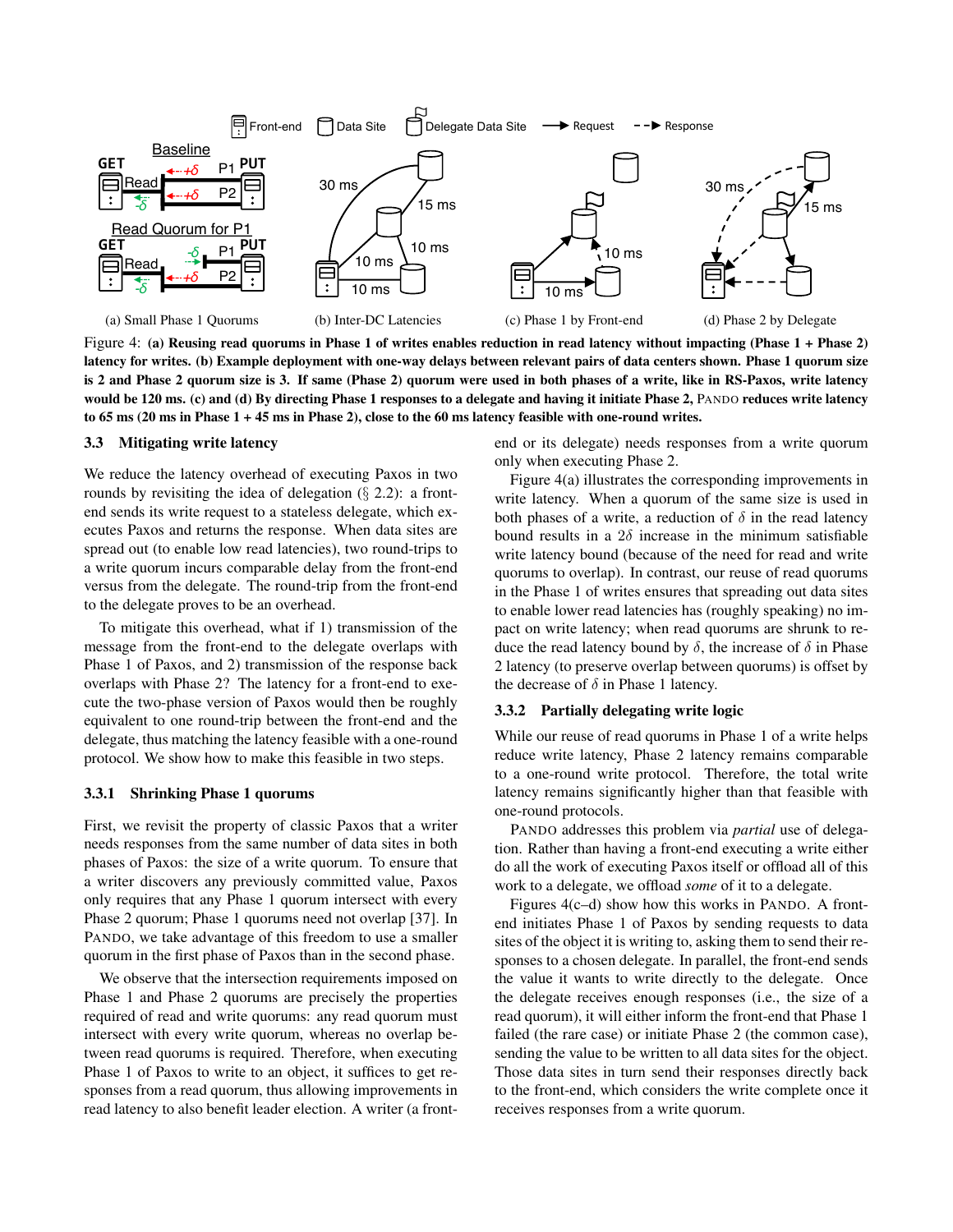

Figure 4: (a) Reusing read quorums in Phase 1 of writes enables reduction in read latency without impacting (Phase 1 + Phase 2) latency for writes. (b) Example deployment with one-way delays between relevant pairs of data centers shown. Phase 1 quorum size is 2 and Phase 2 quorum size is 3. If same (Phase 2) quorum were used in both phases of a write, like in RS-Paxos, write latency would be 120 ms. (c) and (d) By directing Phase 1 responses to a delegate and having it initiate Phase 2, PANDO reduces write latency to 65 ms (20 ms in Phase 1 + 45 ms in Phase 2), close to the 60 ms latency feasible with one-round writes.

#### 3.3 Mitigating write latency

We reduce the latency overhead of executing Paxos in two rounds by revisiting the idea of delegation  $(\S 2.2)$ : a frontend sends its write request to a stateless delegate, which executes Paxos and returns the response. When data sites are spread out (to enable low read latencies), two round-trips to a write quorum incurs comparable delay from the front-end versus from the delegate. The round-trip from the front-end to the delegate proves to be an overhead.

To mitigate this overhead, what if 1) transmission of the message from the front-end to the delegate overlaps with Phase 1 of Paxos, and 2) transmission of the response back overlaps with Phase 2? The latency for a front-end to execute the two-phase version of Paxos would then be roughly equivalent to one round-trip between the front-end and the delegate, thus matching the latency feasible with a one-round protocol. We show how to make this feasible in two steps.

#### 3.3.1 Shrinking Phase 1 quorums

First, we revisit the property of classic Paxos that a writer needs responses from the same number of data sites in both phases of Paxos: the size of a write quorum. To ensure that a writer discovers any previously committed value, Paxos only requires that any Phase 1 quorum intersect with every Phase 2 quorum; Phase 1 quorums need not overlap [37]. In PANDO, we take advantage of this freedom to use a smaller quorum in the first phase of Paxos than in the second phase.

We observe that the intersection requirements imposed on Phase 1 and Phase 2 quorums are precisely the properties required of read and write quorums: any read quorum must intersect with every write quorum, whereas no overlap between read quorums is required. Therefore, when executing Phase 1 of Paxos to write to an object, it suffices to get responses from a read quorum, thus allowing improvements in read latency to also benefit leader election. A writer (a front-

end or its delegate) needs responses from a write quorum only when executing Phase 2.

Figure 4(a) illustrates the corresponding improvements in write latency. When a quorum of the same size is used in both phases of a write, a reduction of  $\delta$  in the read latency bound results in a  $2\delta$  increase in the minimum satisfiable write latency bound (because of the need for read and write quorums to overlap). In contrast, our reuse of read quorums in the Phase 1 of writes ensures that spreading out data sites to enable lower read latencies has (roughly speaking) no impact on write latency; when read quorums are shrunk to reduce the read latency bound by  $\delta$ , the increase of  $\delta$  in Phase 2 latency (to preserve overlap between quorums) is offset by the decrease of  $\delta$  in Phase 1 latency.

### 3.3.2 Partially delegating write logic

While our reuse of read quorums in Phase 1 of a write helps reduce write latency, Phase 2 latency remains comparable to a one-round write protocol. Therefore, the total write latency remains significantly higher than that feasible with one-round protocols.

PANDO addresses this problem via *partial* use of delegation. Rather than having a front-end executing a write either do all the work of executing Paxos itself or offload all of this work to a delegate, we offload *some* of it to a delegate.

Figures 4(c–d) show how this works in PANDO. A frontend initiates Phase 1 of Paxos by sending requests to data sites of the object it is writing to, asking them to send their responses to a chosen delegate. In parallel, the front-end sends the value it wants to write directly to the delegate. Once the delegate receives enough responses (i.e., the size of a read quorum), it will either inform the front-end that Phase 1 failed (the rare case) or initiate Phase 2 (the common case), sending the value to be written to all data sites for the object. Those data sites in turn send their responses directly back to the front-end, which considers the write complete once it receives responses from a write quorum.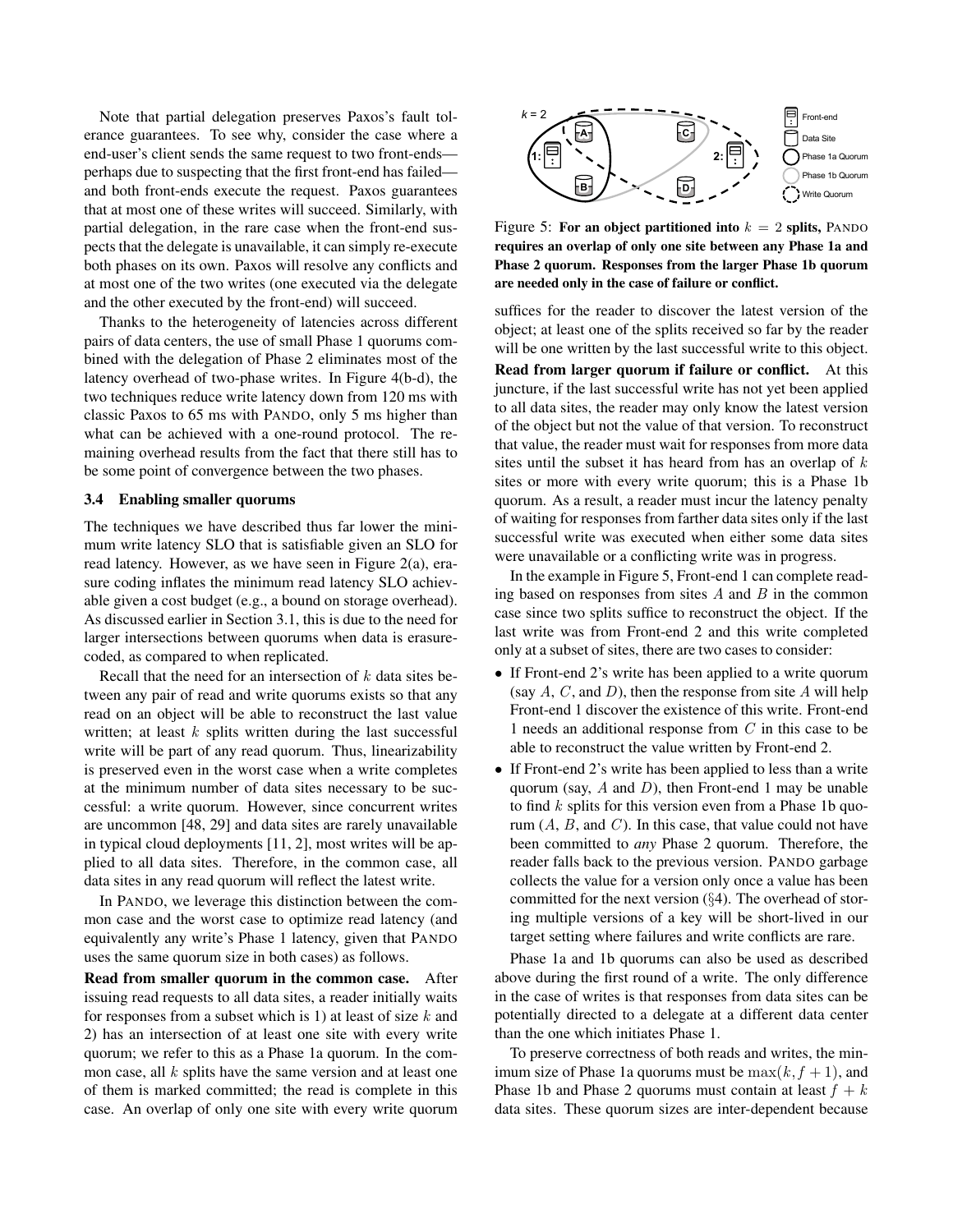Note that partial delegation preserves Paxos's fault tolerance guarantees. To see why, consider the case where a end-user's client sends the same request to two front-ends perhaps due to suspecting that the first front-end has failed and both front-ends execute the request. Paxos guarantees that at most one of these writes will succeed. Similarly, with partial delegation, in the rare case when the front-end suspects that the delegate is unavailable, it can simply re-execute both phases on its own. Paxos will resolve any conflicts and at most one of the two writes (one executed via the delegate and the other executed by the front-end) will succeed.

Thanks to the heterogeneity of latencies across different pairs of data centers, the use of small Phase 1 quorums combined with the delegation of Phase 2 eliminates most of the latency overhead of two-phase writes. In Figure 4(b-d), the two techniques reduce write latency down from 120 ms with classic Paxos to 65 ms with PANDO, only 5 ms higher than what can be achieved with a one-round protocol. The remaining overhead results from the fact that there still has to be some point of convergence between the two phases.

#### 3.4 Enabling smaller quorums

The techniques we have described thus far lower the minimum write latency SLO that is satisfiable given an SLO for read latency. However, as we have seen in Figure 2(a), erasure coding inflates the minimum read latency SLO achievable given a cost budget (e.g., a bound on storage overhead). As discussed earlier in Section 3.1, this is due to the need for larger intersections between quorums when data is erasurecoded, as compared to when replicated.

Recall that the need for an intersection of  $k$  data sites between any pair of read and write quorums exists so that any read on an object will be able to reconstruct the last value written; at least  $k$  splits written during the last successful write will be part of any read quorum. Thus, linearizability is preserved even in the worst case when a write completes at the minimum number of data sites necessary to be successful: a write quorum. However, since concurrent writes are uncommon [48, 29] and data sites are rarely unavailable in typical cloud deployments [11, 2], most writes will be applied to all data sites. Therefore, in the common case, all data sites in any read quorum will reflect the latest write.

In PANDO, we leverage this distinction between the common case and the worst case to optimize read latency (and equivalently any write's Phase 1 latency, given that PANDO uses the same quorum size in both cases) as follows.

Read from smaller quorum in the common case. After issuing read requests to all data sites, a reader initially waits for responses from a subset which is 1) at least of size  $k$  and 2) has an intersection of at least one site with every write quorum; we refer to this as a Phase 1a quorum. In the common case, all  $k$  splits have the same version and at least one of them is marked committed; the read is complete in this case. An overlap of only one site with every write quorum



Figure 5: For an object partitioned into  $k = 2$  splits, PANDO requires an overlap of only one site between any Phase 1a and Phase 2 quorum. Responses from the larger Phase 1b quorum are needed only in the case of failure or conflict.

suffices for the reader to discover the latest version of the object; at least one of the splits received so far by the reader will be one written by the last successful write to this object.

Read from larger quorum if failure or conflict. At this juncture, if the last successful write has not yet been applied to all data sites, the reader may only know the latest version of the object but not the value of that version. To reconstruct that value, the reader must wait for responses from more data sites until the subset it has heard from has an overlap of  $k$ sites or more with every write quorum; this is a Phase 1b quorum. As a result, a reader must incur the latency penalty of waiting for responses from farther data sites only if the last successful write was executed when either some data sites were unavailable or a conflicting write was in progress.

In the example in Figure 5, Front-end 1 can complete reading based on responses from sites  $A$  and  $B$  in the common case since two splits suffice to reconstruct the object. If the last write was from Front-end 2 and this write completed only at a subset of sites, there are two cases to consider:

- If Front-end 2's write has been applied to a write quorum (say  $A$ ,  $C$ , and  $D$ ), then the response from site  $A$  will help Front-end 1 discover the existence of this write. Front-end 1 needs an additional response from  $C$  in this case to be able to reconstruct the value written by Front-end 2.
- If Front-end 2's write has been applied to less than a write quorum (say,  $A$  and  $D$ ), then Front-end 1 may be unable to find  $k$  splits for this version even from a Phase 1b quorum  $(A, B, \text{ and } C)$ . In this case, that value could not have been committed to *any* Phase 2 quorum. Therefore, the reader falls back to the previous version. PANDO garbage collects the value for a version only once a value has been committed for the next version (§4). The overhead of storing multiple versions of a key will be short-lived in our target setting where failures and write conflicts are rare.

Phase 1a and 1b quorums can also be used as described above during the first round of a write. The only difference in the case of writes is that responses from data sites can be potentially directed to a delegate at a different data center than the one which initiates Phase 1.

To preserve correctness of both reads and writes, the minimum size of Phase 1a quorums must be  $\max(k, f + 1)$ , and Phase 1b and Phase 2 quorums must contain at least  $f + k$ data sites. These quorum sizes are inter-dependent because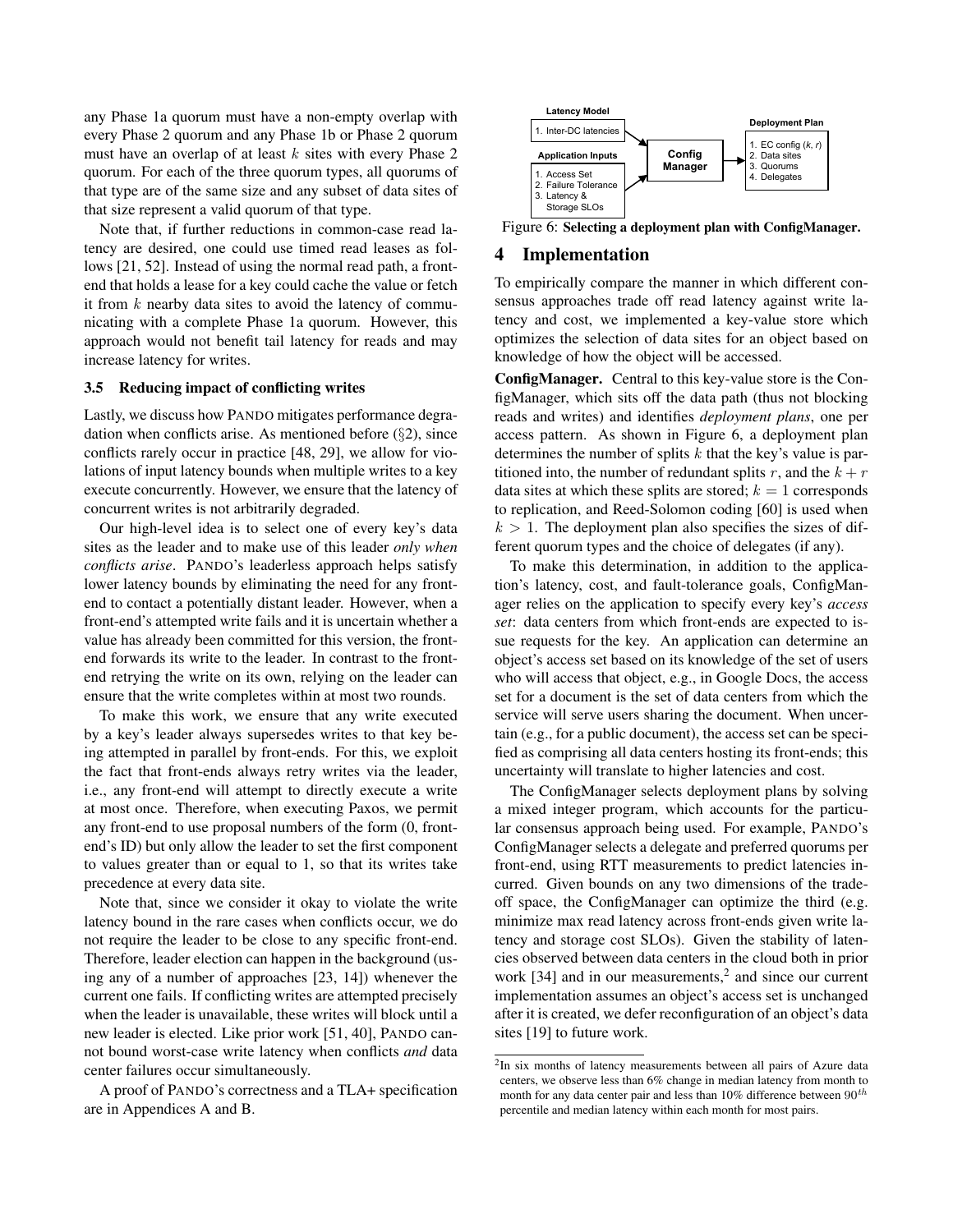any Phase 1a quorum must have a non-empty overlap with every Phase 2 quorum and any Phase 1b or Phase 2 quorum must have an overlap of at least  $k$  sites with every Phase 2 quorum. For each of the three quorum types, all quorums of that type are of the same size and any subset of data sites of that size represent a valid quorum of that type.

Note that, if further reductions in common-case read latency are desired, one could use timed read leases as follows [21, 52]. Instead of using the normal read path, a frontend that holds a lease for a key could cache the value or fetch it from  $k$  nearby data sites to avoid the latency of communicating with a complete Phase 1a quorum. However, this approach would not benefit tail latency for reads and may increase latency for writes.

#### 3.5 Reducing impact of conflicting writes

Lastly, we discuss how PANDO mitigates performance degradation when conflicts arise. As mentioned before  $(\S 2)$ , since conflicts rarely occur in practice [48, 29], we allow for violations of input latency bounds when multiple writes to a key execute concurrently. However, we ensure that the latency of concurrent writes is not arbitrarily degraded.

Our high-level idea is to select one of every key's data sites as the leader and to make use of this leader *only when conflicts arise*. PANDO's leaderless approach helps satisfy lower latency bounds by eliminating the need for any frontend to contact a potentially distant leader. However, when a front-end's attempted write fails and it is uncertain whether a value has already been committed for this version, the frontend forwards its write to the leader. In contrast to the frontend retrying the write on its own, relying on the leader can ensure that the write completes within at most two rounds.

To make this work, we ensure that any write executed by a key's leader always supersedes writes to that key being attempted in parallel by front-ends. For this, we exploit the fact that front-ends always retry writes via the leader, i.e., any front-end will attempt to directly execute a write at most once. Therefore, when executing Paxos, we permit any front-end to use proposal numbers of the form (0, frontend's ID) but only allow the leader to set the first component to values greater than or equal to 1, so that its writes take precedence at every data site.

Note that, since we consider it okay to violate the write latency bound in the rare cases when conflicts occur, we do not require the leader to be close to any specific front-end. Therefore, leader election can happen in the background (using any of a number of approaches [23, 14]) whenever the current one fails. If conflicting writes are attempted precisely when the leader is unavailable, these writes will block until a new leader is elected. Like prior work [51, 40], PANDO cannot bound worst-case write latency when conflicts *and* data center failures occur simultaneously.

A proof of PANDO's correctness and a TLA+ specification are in Appendices A and B.



Figure 6: Selecting a deployment plan with ConfigManager.

### 4 Implementation

To empirically compare the manner in which different consensus approaches trade off read latency against write latency and cost, we implemented a key-value store which optimizes the selection of data sites for an object based on knowledge of how the object will be accessed.

ConfigManager. Central to this key-value store is the ConfigManager, which sits off the data path (thus not blocking reads and writes) and identifies *deployment plans*, one per access pattern. As shown in Figure 6, a deployment plan determines the number of splits  $k$  that the key's value is partitioned into, the number of redundant splits r, and the  $k + r$ data sites at which these splits are stored;  $k = 1$  corresponds to replication, and Reed-Solomon coding [60] is used when  $k > 1$ . The deployment plan also specifies the sizes of different quorum types and the choice of delegates (if any).

To make this determination, in addition to the application's latency, cost, and fault-tolerance goals, ConfigManager relies on the application to specify every key's *access set*: data centers from which front-ends are expected to issue requests for the key. An application can determine an object's access set based on its knowledge of the set of users who will access that object, e.g., in Google Docs, the access set for a document is the set of data centers from which the service will serve users sharing the document. When uncertain (e.g., for a public document), the access set can be specified as comprising all data centers hosting its front-ends; this uncertainty will translate to higher latencies and cost.

The ConfigManager selects deployment plans by solving a mixed integer program, which accounts for the particular consensus approach being used. For example, PANDO's ConfigManager selects a delegate and preferred quorums per front-end, using RTT measurements to predict latencies incurred. Given bounds on any two dimensions of the tradeoff space, the ConfigManager can optimize the third (e.g. minimize max read latency across front-ends given write latency and storage cost SLOs). Given the stability of latencies observed between data centers in the cloud both in prior work  $[34]$  and in our measurements,<sup>2</sup> and since our current implementation assumes an object's access set is unchanged after it is created, we defer reconfiguration of an object's data sites [19] to future work.

<sup>&</sup>lt;sup>2</sup>In six months of latency measurements between all pairs of Azure data centers, we observe less than 6% change in median latency from month to month for any data center pair and less than  $10\%$  difference between  $90^{th}$ percentile and median latency within each month for most pairs.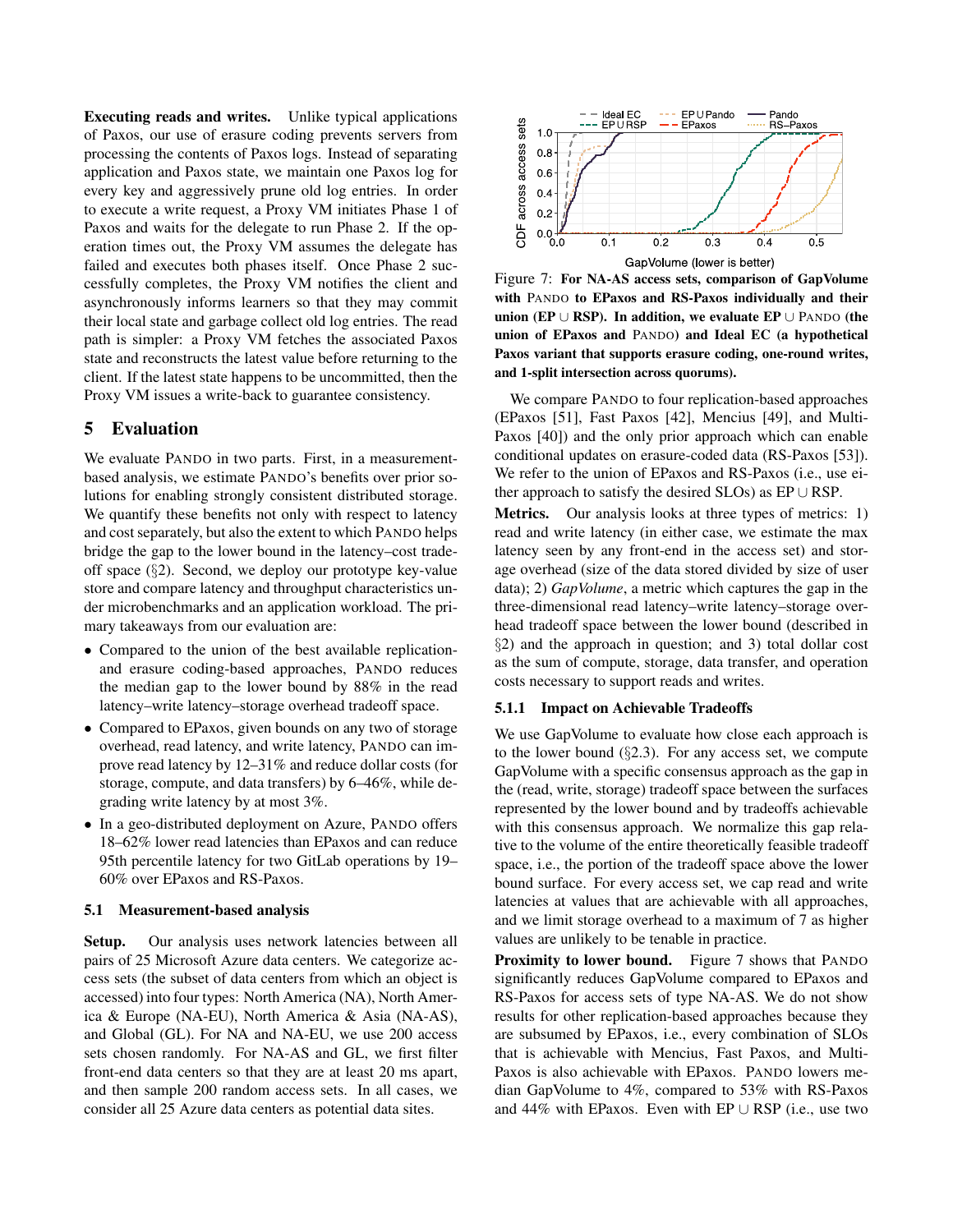Executing reads and writes. Unlike typical applications of Paxos, our use of erasure coding prevents servers from processing the contents of Paxos logs. Instead of separating application and Paxos state, we maintain one Paxos log for every key and aggressively prune old log entries. In order to execute a write request, a Proxy VM initiates Phase 1 of Paxos and waits for the delegate to run Phase 2. If the operation times out, the Proxy VM assumes the delegate has failed and executes both phases itself. Once Phase 2 successfully completes, the Proxy VM notifies the client and asynchronously informs learners so that they may commit their local state and garbage collect old log entries. The read path is simpler: a Proxy VM fetches the associated Paxos state and reconstructs the latest value before returning to the client. If the latest state happens to be uncommitted, then the Proxy VM issues a write-back to guarantee consistency.

## 5 Evaluation

We evaluate PANDO in two parts. First, in a measurementbased analysis, we estimate PANDO's benefits over prior solutions for enabling strongly consistent distributed storage. We quantify these benefits not only with respect to latency and cost separately, but also the extent to which PANDO helps bridge the gap to the lower bound in the latency–cost tradeoff space (§2). Second, we deploy our prototype key-value store and compare latency and throughput characteristics under microbenchmarks and an application workload. The primary takeaways from our evaluation are:

- Compared to the union of the best available replicationand erasure coding-based approaches, PANDO reduces the median gap to the lower bound by 88% in the read latency–write latency–storage overhead tradeoff space.
- Compared to EPaxos, given bounds on any two of storage overhead, read latency, and write latency, PANDO can improve read latency by 12–31% and reduce dollar costs (for storage, compute, and data transfers) by 6–46%, while degrading write latency by at most 3%.
- In a geo-distributed deployment on Azure, PANDO offers 18–62% lower read latencies than EPaxos and can reduce 95th percentile latency for two GitLab operations by 19– 60% over EPaxos and RS-Paxos.

#### 5.1 Measurement-based analysis

Setup. Our analysis uses network latencies between all pairs of 25 Microsoft Azure data centers. We categorize access sets (the subset of data centers from which an object is accessed) into four types: North America (NA), North America & Europe (NA-EU), North America & Asia (NA-AS), and Global (GL). For NA and NA-EU, we use 200 access sets chosen randomly. For NA-AS and GL, we first filter front-end data centers so that they are at least 20 ms apart, and then sample 200 random access sets. In all cases, we consider all 25 Azure data centers as potential data sites.



Figure 7: For NA-AS access sets, comparison of GapVolume with PANDO to EPaxos and RS-Paxos individually and their union (EP  $\cup$  RSP). In addition, we evaluate EP  $\cup$  PANDO (the union of EPaxos and PANDO) and Ideal EC (a hypothetical Paxos variant that supports erasure coding, one-round writes, and 1-split intersection across quorums).

We compare PANDO to four replication-based approaches (EPaxos [51], Fast Paxos [42], Mencius [49], and Multi-Paxos [40]) and the only prior approach which can enable conditional updates on erasure-coded data (RS-Paxos [53]). We refer to the union of EPaxos and RS-Paxos (i.e., use either approach to satisfy the desired SLOs) as  $EP \cup RSP$ .

Metrics. Our analysis looks at three types of metrics: 1) read and write latency (in either case, we estimate the max latency seen by any front-end in the access set) and storage overhead (size of the data stored divided by size of user data); 2) *GapVolume*, a metric which captures the gap in the three-dimensional read latency–write latency–storage overhead tradeoff space between the lower bound (described in §2) and the approach in question; and 3) total dollar cost as the sum of compute, storage, data transfer, and operation costs necessary to support reads and writes.

#### 5.1.1 Impact on Achievable Tradeoffs

We use GapVolume to evaluate how close each approach is to the lower bound  $(\S2.3)$ . For any access set, we compute GapVolume with a specific consensus approach as the gap in the (read, write, storage) tradeoff space between the surfaces represented by the lower bound and by tradeoffs achievable with this consensus approach. We normalize this gap relative to the volume of the entire theoretically feasible tradeoff space, i.e., the portion of the tradeoff space above the lower bound surface. For every access set, we cap read and write latencies at values that are achievable with all approaches, and we limit storage overhead to a maximum of 7 as higher values are unlikely to be tenable in practice.

Proximity to lower bound. Figure 7 shows that PANDO significantly reduces GapVolume compared to EPaxos and RS-Paxos for access sets of type NA-AS. We do not show results for other replication-based approaches because they are subsumed by EPaxos, i.e., every combination of SLOs that is achievable with Mencius, Fast Paxos, and Multi-Paxos is also achievable with EPaxos. PANDO lowers median GapVolume to 4%, compared to 53% with RS-Paxos and 44% with EPaxos. Even with EP  $\cup$  RSP (i.e., use two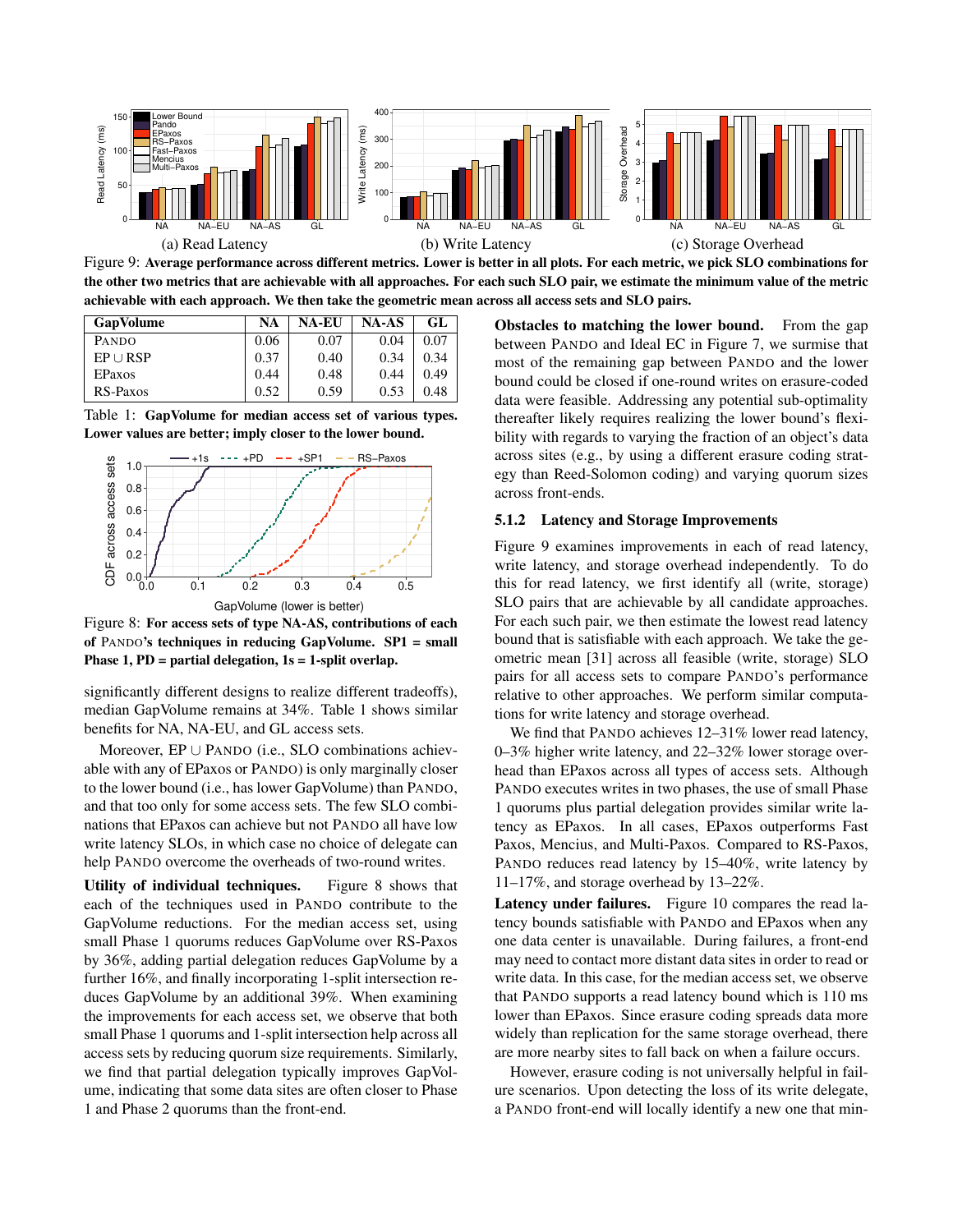

Figure 9: Average performance across different metrics. Lower is better in all plots. For each metric, we pick SLO combinations for the other two metrics that are achievable with all approaches. For each such SLO pair, we estimate the minimum value of the metric achievable with each approach. We then take the geometric mean across all access sets and SLO pairs.

| <b>GapVolume</b> | NA   | <b>NA-EU</b> | NA-AS | GL.  |
|------------------|------|--------------|-------|------|
| <b>PANDO</b>     | 0.06 | 0.07         | 0.04  | 0.07 |
| $EP \cup RSP$    | 0.37 | 0.40         | 0.34  | 0.34 |
| EPaxos           | 0.44 | 0.48         | 0.44  | 0.49 |
| <b>RS-Paxos</b>  | 0.52 | 0.59         | 0.53  | 0.48 |

Table 1: GapVolume for median access set of various types. Lower values are better; imply closer to the lower bound.



Figure 8: For access sets of type NA-AS, contributions of each of PANDO's techniques in reducing GapVolume. SP1 = small Phase  $1$ ,  $PD$  = partial delegation,  $1s = 1$ -split overlap.

significantly different designs to realize different tradeoffs), median GapVolume remains at 34%. Table 1 shows similar benefits for NA, NA-EU, and GL access sets.

Moreover, EP ∪ PANDO (i.e., SLO combinations achievable with any of EPaxos or PANDO) is only marginally closer to the lower bound (i.e., has lower GapVolume) than PANDO, and that too only for some access sets. The few SLO combinations that EPaxos can achieve but not PANDO all have low write latency SLOs, in which case no choice of delegate can help PANDO overcome the overheads of two-round writes.

Utility of individual techniques. Figure 8 shows that each of the techniques used in PANDO contribute to the GapVolume reductions. For the median access set, using small Phase 1 quorums reduces GapVolume over RS-Paxos by 36%, adding partial delegation reduces GapVolume by a further 16%, and finally incorporating 1-split intersection reduces GapVolume by an additional 39%. When examining the improvements for each access set, we observe that both small Phase 1 quorums and 1-split intersection help across all access sets by reducing quorum size requirements. Similarly, we find that partial delegation typically improves GapVolume, indicating that some data sites are often closer to Phase 1 and Phase 2 quorums than the front-end.

Obstacles to matching the lower bound. From the gap between PANDO and Ideal EC in Figure 7, we surmise that most of the remaining gap between PANDO and the lower bound could be closed if one-round writes on erasure-coded data were feasible. Addressing any potential sub-optimality thereafter likely requires realizing the lower bound's flexibility with regards to varying the fraction of an object's data across sites (e.g., by using a different erasure coding strategy than Reed-Solomon coding) and varying quorum sizes across front-ends.

### 5.1.2 Latency and Storage Improvements

Figure 9 examines improvements in each of read latency, write latency, and storage overhead independently. To do this for read latency, we first identify all (write, storage) SLO pairs that are achievable by all candidate approaches. For each such pair, we then estimate the lowest read latency bound that is satisfiable with each approach. We take the geometric mean [31] across all feasible (write, storage) SLO pairs for all access sets to compare PANDO's performance relative to other approaches. We perform similar computations for write latency and storage overhead.

We find that PANDO achieves  $12-31\%$  lower read latency, 0–3% higher write latency, and 22–32% lower storage overhead than EPaxos across all types of access sets. Although PANDO executes writes in two phases, the use of small Phase 1 quorums plus partial delegation provides similar write latency as EPaxos. In all cases, EPaxos outperforms Fast Paxos, Mencius, and Multi-Paxos. Compared to RS-Paxos, PANDO reduces read latency by 15–40%, write latency by 11–17%, and storage overhead by 13–22%.

Latency under failures. Figure 10 compares the read latency bounds satisfiable with PANDO and EPaxos when any one data center is unavailable. During failures, a front-end may need to contact more distant data sites in order to read or write data. In this case, for the median access set, we observe that PANDO supports a read latency bound which is 110 ms lower than EPaxos. Since erasure coding spreads data more widely than replication for the same storage overhead, there are more nearby sites to fall back on when a failure occurs.

However, erasure coding is not universally helpful in failure scenarios. Upon detecting the loss of its write delegate, a PANDO front-end will locally identify a new one that min-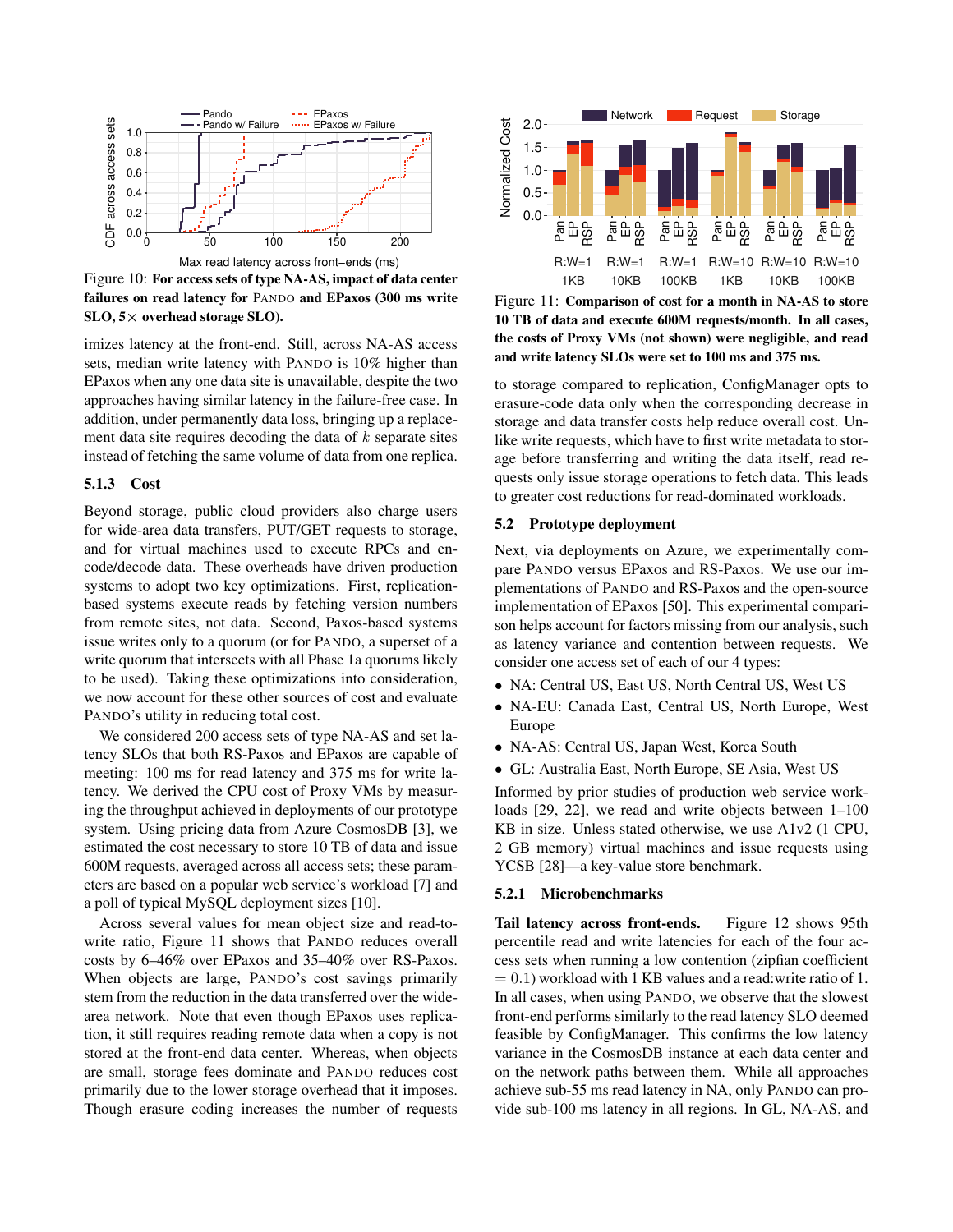

Figure 10: For access sets of type NA-AS, impact of data center failures on read latency for PANDO and EPaxos (300 ms write  $SLO$ ,  $5 \times$  overhead storage  $SLO$ ).

imizes latency at the front-end. Still, across NA-AS access sets, median write latency with PANDO is 10% higher than EPaxos when any one data site is unavailable, despite the two approaches having similar latency in the failure-free case. In addition, under permanently data loss, bringing up a replacement data site requires decoding the data of  $k$  separate sites instead of fetching the same volume of data from one replica.

#### 5.1.3 Cost

Beyond storage, public cloud providers also charge users for wide-area data transfers, PUT/GET requests to storage, and for virtual machines used to execute RPCs and encode/decode data. These overheads have driven production systems to adopt two key optimizations. First, replicationbased systems execute reads by fetching version numbers from remote sites, not data. Second, Paxos-based systems issue writes only to a quorum (or for PANDO, a superset of a write quorum that intersects with all Phase 1a quorums likely to be used). Taking these optimizations into consideration, we now account for these other sources of cost and evaluate PANDO's utility in reducing total cost.

We considered 200 access sets of type NA-AS and set latency SLOs that both RS-Paxos and EPaxos are capable of meeting: 100 ms for read latency and 375 ms for write latency. We derived the CPU cost of Proxy VMs by measuring the throughput achieved in deployments of our prototype system. Using pricing data from Azure CosmosDB [3], we estimated the cost necessary to store 10 TB of data and issue 600M requests, averaged across all access sets; these parameters are based on a popular web service's workload [7] and a poll of typical MySQL deployment sizes [10].

Across several values for mean object size and read-towrite ratio, Figure 11 shows that PANDO reduces overall costs by 6–46% over EPaxos and 35–40% over RS-Paxos. When objects are large, PANDO's cost savings primarily stem from the reduction in the data transferred over the widearea network. Note that even though EPaxos uses replication, it still requires reading remote data when a copy is not stored at the front-end data center. Whereas, when objects are small, storage fees dominate and PANDO reduces cost primarily due to the lower storage overhead that it imposes. Though erasure coding increases the number of requests



Figure 11: Comparison of cost for a month in NA-AS to store 10 TB of data and execute 600M requests/month. In all cases, the costs of Proxy VMs (not shown) were negligible, and read and write latency SLOs were set to 100 ms and 375 ms.

to storage compared to replication, ConfigManager opts to erasure-code data only when the corresponding decrease in storage and data transfer costs help reduce overall cost. Unlike write requests, which have to first write metadata to storage before transferring and writing the data itself, read requests only issue storage operations to fetch data. This leads to greater cost reductions for read-dominated workloads.

#### 5.2 Prototype deployment

Next, via deployments on Azure, we experimentally compare PANDO versus EPaxos and RS-Paxos. We use our implementations of PANDO and RS-Paxos and the open-source implementation of EPaxos [50]. This experimental comparison helps account for factors missing from our analysis, such as latency variance and contention between requests. We consider one access set of each of our 4 types:

- NA: Central US, East US, North Central US, West US
- NA-EU: Canada East, Central US, North Europe, West Europe
- NA-AS: Central US, Japan West, Korea South
- GL: Australia East, North Europe, SE Asia, West US

Informed by prior studies of production web service workloads [29, 22], we read and write objects between  $1-100$ KB in size. Unless stated otherwise, we use A1v2 (1 CPU, 2 GB memory) virtual machines and issue requests using YCSB [28]—a key-value store benchmark.

#### 5.2.1 Microbenchmarks

Tail latency across front-ends. Figure 12 shows 95th percentile read and write latencies for each of the four access sets when running a low contention (zipfian coefficient  $= 0.1$ ) workload with 1 KB values and a read:write ratio of 1. In all cases, when using PANDO, we observe that the slowest front-end performs similarly to the read latency SLO deemed feasible by ConfigManager. This confirms the low latency variance in the CosmosDB instance at each data center and on the network paths between them. While all approaches achieve sub-55 ms read latency in NA, only PANDO can provide sub-100 ms latency in all regions. In GL, NA-AS, and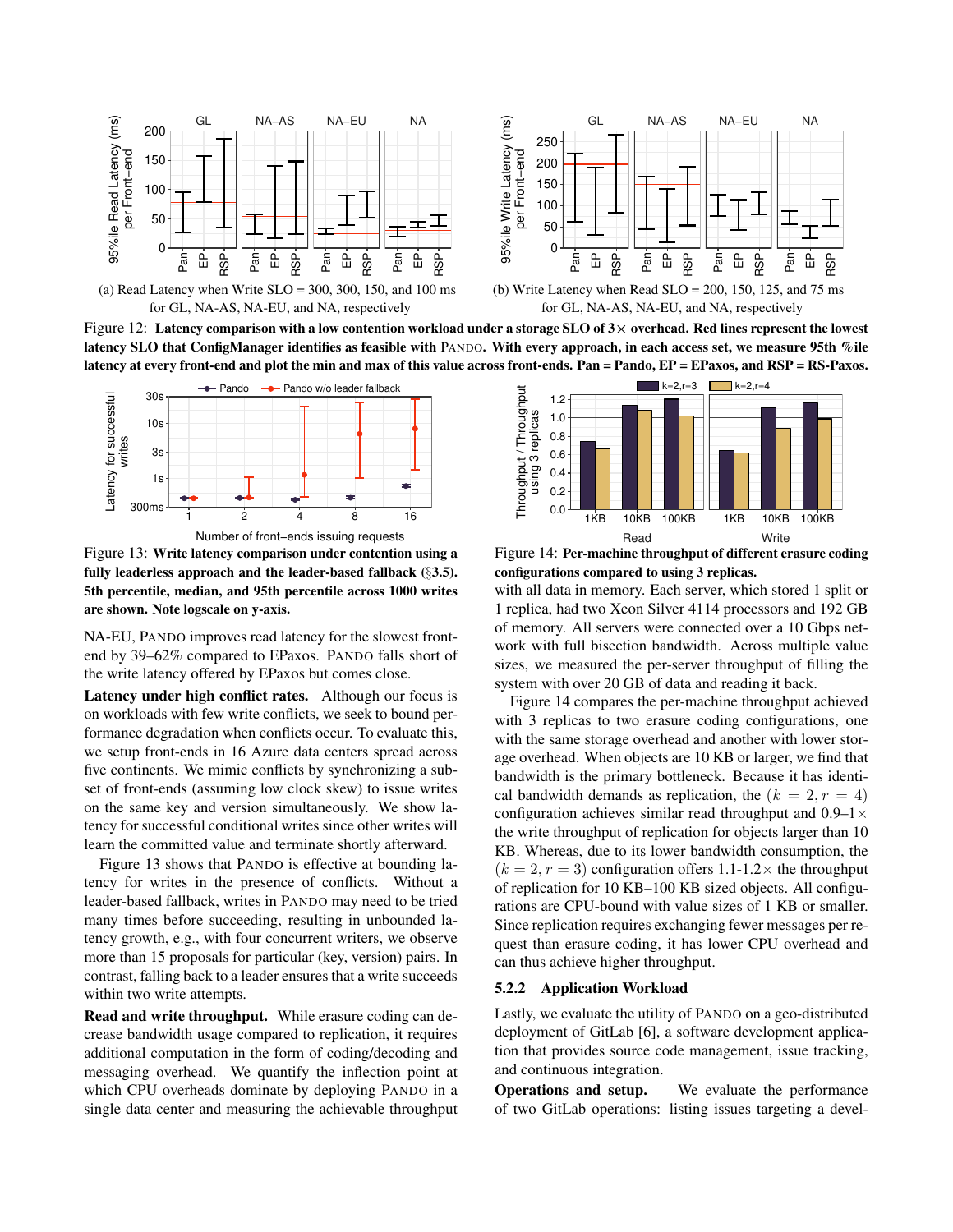







Figure 12: Latency comparison with a low contention workload under a storage SLO of  $3\times$  overhead. Red lines represent the lowest latency SLO that ConfigManager identifies as feasible with PANDO. With every approach, in each access set, we measure 95th %ile latency at every front-end and plot the min and max of this value across front-ends. Pan = Pando, EP = EPaxos, and RSP = RS-Paxos.



Figure 13: Write latency comparison under contention using a fully leaderless approach and the leader-based fallback (§3.5). 5th percentile, median, and 95th percentile across 1000 writes are shown. Note logscale on y-axis.

NA-EU, PANDO improves read latency for the slowest frontend by 39–62% compared to EPaxos. PANDO falls short of the write latency offered by EPaxos but comes close.

Latency under high conflict rates. Although our focus is on workloads with few write conflicts, we seek to bound performance degradation when conflicts occur. To evaluate this, we setup front-ends in 16 Azure data centers spread across five continents. We mimic conflicts by synchronizing a subset of front-ends (assuming low clock skew) to issue writes on the same key and version simultaneously. We show latency for successful conditional writes since other writes will learn the committed value and terminate shortly afterward.

Figure 13 shows that PANDO is effective at bounding latency for writes in the presence of conflicts. Without a leader-based fallback, writes in PANDO may need to be tried many times before succeeding, resulting in unbounded latency growth, e.g., with four concurrent writers, we observe more than 15 proposals for particular (key, version) pairs. In contrast, falling back to a leader ensures that a write succeeds within two write attempts.

Read and write throughput. While erasure coding can decrease bandwidth usage compared to replication, it requires additional computation in the form of coding/decoding and messaging overhead. We quantify the inflection point at which CPU overheads dominate by deploying PANDO in a single data center and measuring the achievable throughput



Figure 14: Per-machine throughput of different erasure coding configurations compared to using 3 replicas.

with all data in memory. Each server, which stored 1 split or 1 replica, had two Xeon Silver 4114 processors and 192 GB of memory. All servers were connected over a 10 Gbps network with full bisection bandwidth. Across multiple value sizes, we measured the per-server throughput of filling the system with over 20 GB of data and reading it back.

Figure 14 compares the per-machine throughput achieved with 3 replicas to two erasure coding configurations, one with the same storage overhead and another with lower storage overhead. When objects are 10 KB or larger, we find that bandwidth is the primary bottleneck. Because it has identical bandwidth demands as replication, the  $(k = 2, r = 4)$ configuration achieves similar read throughput and  $0.9-1 \times$ the write throughput of replication for objects larger than 10 KB. Whereas, due to its lower bandwidth consumption, the  $(k = 2, r = 3)$  configuration offers 1.1-1.2× the throughput of replication for 10 KB–100 KB sized objects. All configurations are CPU-bound with value sizes of 1 KB or smaller. Since replication requires exchanging fewer messages per request than erasure coding, it has lower CPU overhead and can thus achieve higher throughput.

### 5.2.2 Application Workload

Lastly, we evaluate the utility of PANDO on a geo-distributed deployment of GitLab [6], a software development application that provides source code management, issue tracking, and continuous integration.

Operations and setup. We evaluate the performance of two GitLab operations: listing issues targeting a devel-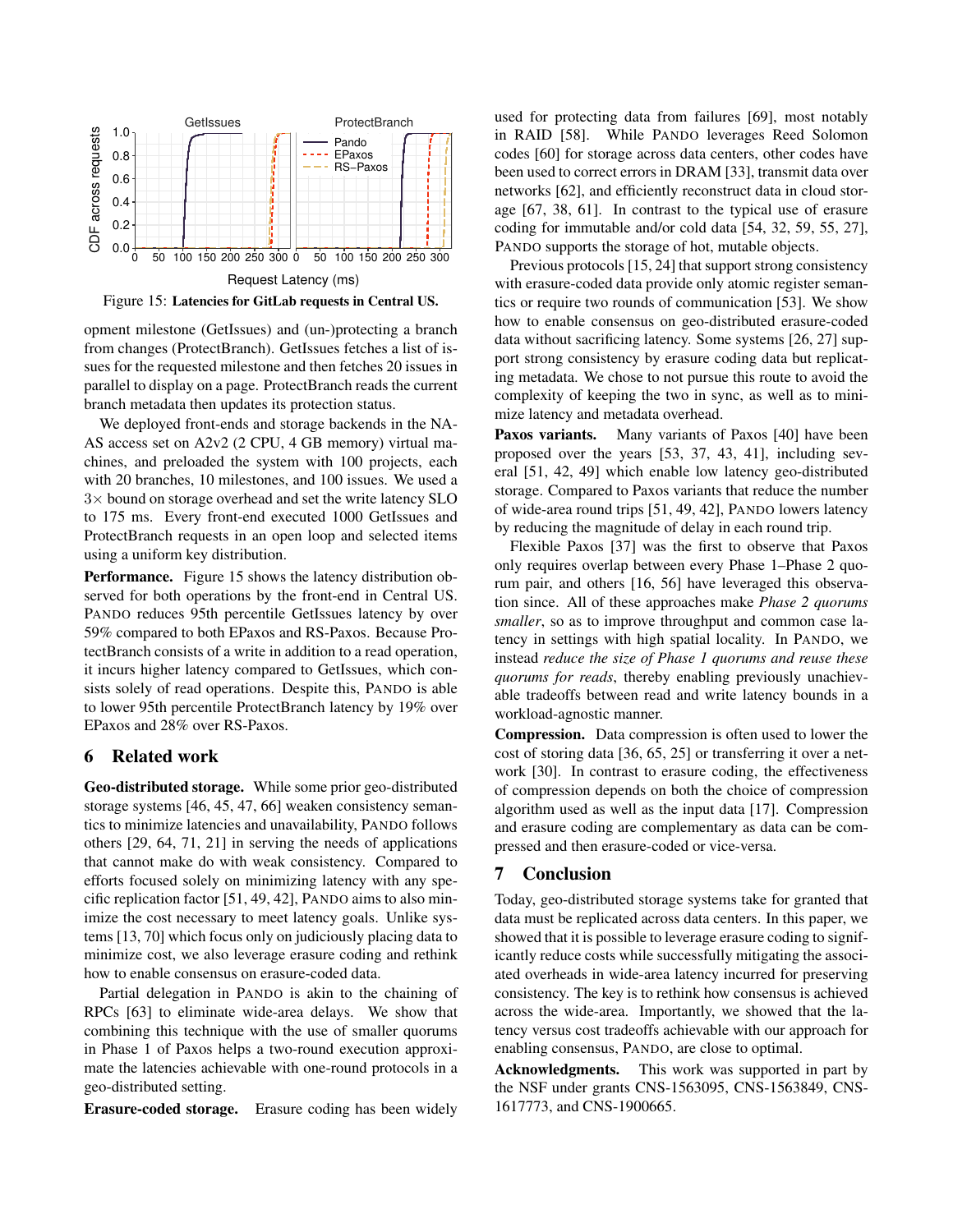

Figure 15: Latencies for GitLab requests in Central US.

opment milestone (GetIssues) and (un-)protecting a branch from changes (ProtectBranch). GetIssues fetches a list of issues for the requested milestone and then fetches 20 issues in parallel to display on a page. ProtectBranch reads the current branch metadata then updates its protection status.

We deployed front-ends and storage backends in the NA-AS access set on A2v2 (2 CPU, 4 GB memory) virtual machines, and preloaded the system with 100 projects, each with 20 branches, 10 milestones, and 100 issues. We used a  $3\times$  bound on storage overhead and set the write latency SLO to 175 ms. Every front-end executed 1000 GetIssues and ProtectBranch requests in an open loop and selected items using a uniform key distribution.

Performance. Figure 15 shows the latency distribution observed for both operations by the front-end in Central US. PANDO reduces 95th percentile GetIssues latency by over 59% compared to both EPaxos and RS-Paxos. Because ProtectBranch consists of a write in addition to a read operation, it incurs higher latency compared to GetIssues, which consists solely of read operations. Despite this, PANDO is able to lower 95th percentile ProtectBranch latency by 19% over EPaxos and 28% over RS-Paxos.

# 6 Related work

Geo-distributed storage. While some prior geo-distributed storage systems [46, 45, 47, 66] weaken consistency semantics to minimize latencies and unavailability, PANDO follows others [29, 64, 71, 21] in serving the needs of applications that cannot make do with weak consistency. Compared to efforts focused solely on minimizing latency with any specific replication factor [51, 49, 42], PANDO aims to also minimize the cost necessary to meet latency goals. Unlike systems [13, 70] which focus only on judiciously placing data to minimize cost, we also leverage erasure coding and rethink how to enable consensus on erasure-coded data.

Partial delegation in PANDO is akin to the chaining of RPCs [63] to eliminate wide-area delays. We show that combining this technique with the use of smaller quorums in Phase 1 of Paxos helps a two-round execution approximate the latencies achievable with one-round protocols in a geo-distributed setting.

Erasure-coded storage. Erasure coding has been widely

used for protecting data from failures [69], most notably in RAID [58]. While PANDO leverages Reed Solomon codes [60] for storage across data centers, other codes have been used to correct errors in DRAM [33], transmit data over networks [62], and efficiently reconstruct data in cloud storage [67, 38, 61]. In contrast to the typical use of erasure coding for immutable and/or cold data [54, 32, 59, 55, 27], PANDO supports the storage of hot, mutable objects.

Previous protocols [15, 24] that support strong consistency with erasure-coded data provide only atomic register semantics or require two rounds of communication [53]. We show how to enable consensus on geo-distributed erasure-coded data without sacrificing latency. Some systems [26, 27] support strong consistency by erasure coding data but replicating metadata. We chose to not pursue this route to avoid the complexity of keeping the two in sync, as well as to minimize latency and metadata overhead.

Paxos variants. Many variants of Paxos [40] have been proposed over the years [53, 37, 43, 41], including several [51, 42, 49] which enable low latency geo-distributed storage. Compared to Paxos variants that reduce the number of wide-area round trips [51, 49, 42], PANDO lowers latency by reducing the magnitude of delay in each round trip.

Flexible Paxos [37] was the first to observe that Paxos only requires overlap between every Phase 1–Phase 2 quorum pair, and others [16, 56] have leveraged this observation since. All of these approaches make *Phase 2 quorums smaller*, so as to improve throughput and common case latency in settings with high spatial locality. In PANDO, we instead *reduce the size of Phase 1 quorums and reuse these quorums for reads*, thereby enabling previously unachievable tradeoffs between read and write latency bounds in a workload-agnostic manner.

Compression. Data compression is often used to lower the cost of storing data [36, 65, 25] or transferring it over a network [30]. In contrast to erasure coding, the effectiveness of compression depends on both the choice of compression algorithm used as well as the input data [17]. Compression and erasure coding are complementary as data can be compressed and then erasure-coded or vice-versa.

# 7 Conclusion

Today, geo-distributed storage systems take for granted that data must be replicated across data centers. In this paper, we showed that it is possible to leverage erasure coding to significantly reduce costs while successfully mitigating the associated overheads in wide-area latency incurred for preserving consistency. The key is to rethink how consensus is achieved across the wide-area. Importantly, we showed that the latency versus cost tradeoffs achievable with our approach for enabling consensus, PANDO, are close to optimal.

Acknowledgments. This work was supported in part by the NSF under grants CNS-1563095, CNS-1563849, CNS-1617773, and CNS-1900665.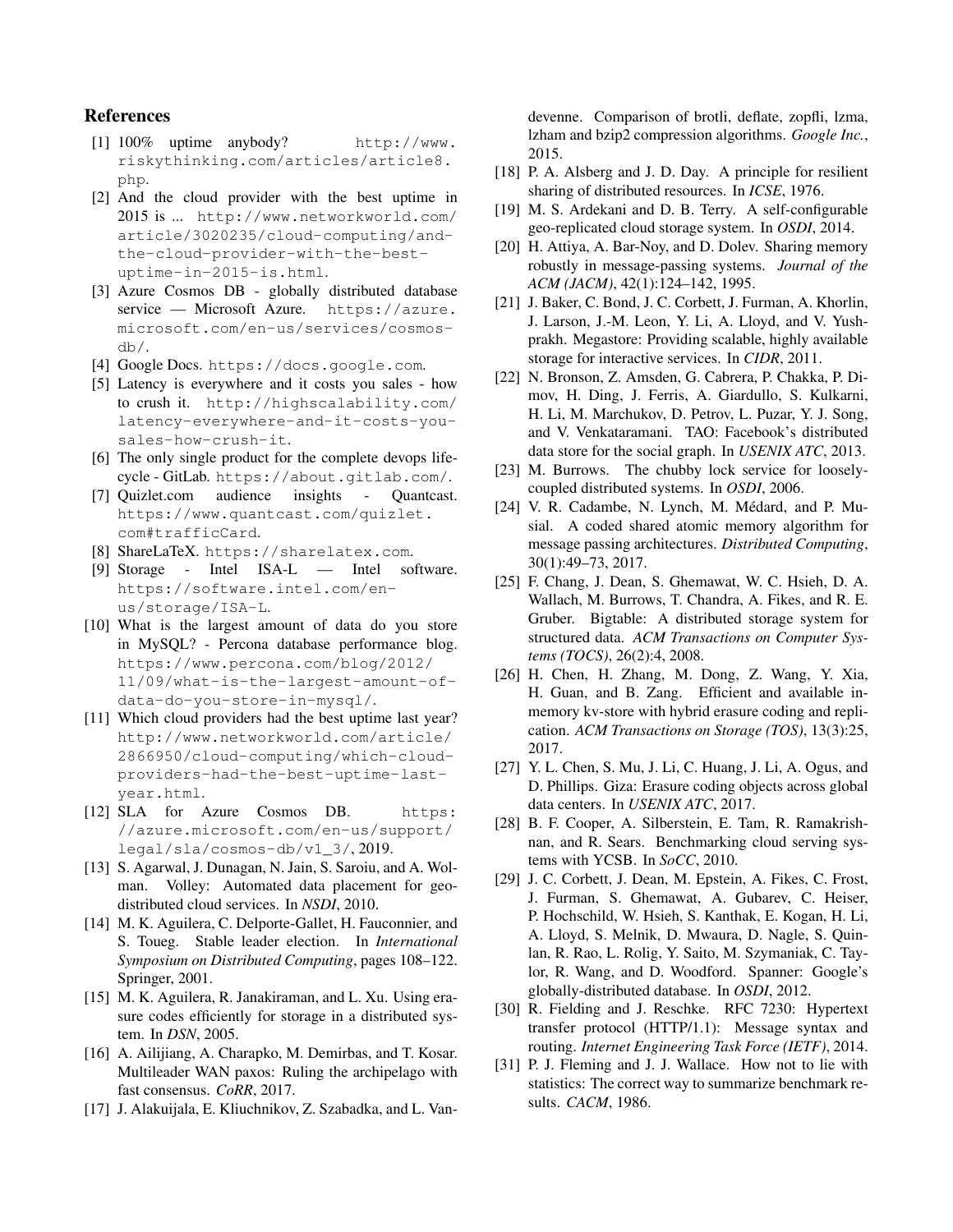# References

- [1] 100% uptime anybody? http://www. riskythinking.com/articles/article8. php.
- [2] And the cloud provider with the best uptime in 2015 is ... http://www.networkworld.com/ article/3020235/cloud-computing/andthe-cloud-provider-with-the-bestuptime-in-2015-is.html.
- [3] Azure Cosmos DB globally distributed database service — Microsoft Azure. https://azure. microsoft.com/en-us/services/cosmosdb/.
- [4] Google Docs. https://docs.google.com.
- [5] Latency is everywhere and it costs you sales how to crush it. http://highscalability.com/ latency-everywhere-and-it-costs-yousales-how-crush-it.
- [6] The only single product for the complete devops lifecycle - GitLab. https://about.gitlab.com/.
- [7] Quizlet.com audience insights Quantcast. https://www.quantcast.com/quizlet. com#trafficCard.
- [8] ShareLaTeX. https://sharelatex.com.
- [9] Storage Intel ISA-L Intel software. https://software.intel.com/enus/storage/ISA-L.
- [10] What is the largest amount of data do you store in MySQL? - Percona database performance blog. https://www.percona.com/blog/2012/ 11/09/what-is-the-largest-amount-ofdata-do-you-store-in-mysql/.
- [11] Which cloud providers had the best uptime last year? http://www.networkworld.com/article/ 2866950/cloud-computing/which-cloudproviders-had-the-best-uptime-lastyear.html.
- [12] SLA for Azure Cosmos DB. https: //azure.microsoft.com/en-us/support/ legal/sla/cosmos-db/v1\_3/, 2019.
- [13] S. Agarwal, J. Dunagan, N. Jain, S. Saroiu, and A. Wolman. Volley: Automated data placement for geodistributed cloud services. In *NSDI*, 2010.
- [14] M. K. Aguilera, C. Delporte-Gallet, H. Fauconnier, and S. Toueg. Stable leader election. In *International Symposium on Distributed Computing*, pages 108–122. Springer, 2001.
- [15] M. K. Aguilera, R. Janakiraman, and L. Xu. Using erasure codes efficiently for storage in a distributed system. In *DSN*, 2005.
- [16] A. Ailijiang, A. Charapko, M. Demirbas, and T. Kosar. Multileader WAN paxos: Ruling the archipelago with fast consensus. *CoRR*, 2017.
- [17] J. Alakuijala, E. Kliuchnikov, Z. Szabadka, and L. Van-

devenne. Comparison of brotli, deflate, zopfli, lzma, lzham and bzip2 compression algorithms. *Google Inc.*, 2015.

- [18] P. A. Alsberg and J. D. Day. A principle for resilient sharing of distributed resources. In *ICSE*, 1976.
- [19] M. S. Ardekani and D. B. Terry. A self-configurable geo-replicated cloud storage system. In *OSDI*, 2014.
- [20] H. Attiya, A. Bar-Noy, and D. Doley. Sharing memory robustly in message-passing systems. *Journal of the ACM (JACM)*, 42(1):124–142, 1995.
- [21] J. Baker, C. Bond, J. C. Corbett, J. Furman, A. Khorlin, J. Larson, J.-M. Leon, Y. Li, A. Lloyd, and V. Yushprakh. Megastore: Providing scalable, highly available storage for interactive services. In *CIDR*, 2011.
- [22] N. Bronson, Z. Amsden, G. Cabrera, P. Chakka, P. Dimov, H. Ding, J. Ferris, A. Giardullo, S. Kulkarni, H. Li, M. Marchukov, D. Petrov, L. Puzar, Y. J. Song, and V. Venkataramani. TAO: Facebook's distributed data store for the social graph. In *USENIX ATC*, 2013.
- [23] M. Burrows. The chubby lock service for looselycoupled distributed systems. In *OSDI*, 2006.
- [24] V. R. Cadambe, N. Lynch, M. Médard, and P. Musial. A coded shared atomic memory algorithm for message passing architectures. *Distributed Computing*, 30(1):49–73, 2017.
- [25] F. Chang, J. Dean, S. Ghemawat, W. C. Hsieh, D. A. Wallach, M. Burrows, T. Chandra, A. Fikes, and R. E. Gruber. Bigtable: A distributed storage system for structured data. *ACM Transactions on Computer Systems (TOCS)*, 26(2):4, 2008.
- [26] H. Chen, H. Zhang, M. Dong, Z. Wang, Y. Xia, H. Guan, and B. Zang. Efficient and available inmemory kv-store with hybrid erasure coding and replication. *ACM Transactions on Storage (TOS)*, 13(3):25, 2017.
- [27] Y. L. Chen, S. Mu, J. Li, C. Huang, J. Li, A. Ogus, and D. Phillips. Giza: Erasure coding objects across global data centers. In *USENIX ATC*, 2017.
- [28] B. F. Cooper, A. Silberstein, E. Tam, R. Ramakrishnan, and R. Sears. Benchmarking cloud serving systems with YCSB. In *SoCC*, 2010.
- [29] J. C. Corbett, J. Dean, M. Epstein, A. Fikes, C. Frost, J. Furman, S. Ghemawat, A. Gubarev, C. Heiser, P. Hochschild, W. Hsieh, S. Kanthak, E. Kogan, H. Li, A. Lloyd, S. Melnik, D. Mwaura, D. Nagle, S. Quinlan, R. Rao, L. Rolig, Y. Saito, M. Szymaniak, C. Taylor, R. Wang, and D. Woodford. Spanner: Google's globally-distributed database. In *OSDI*, 2012.
- [30] R. Fielding and J. Reschke. RFC 7230: Hypertext transfer protocol (HTTP/1.1): Message syntax and routing. *Internet Engineering Task Force (IETF)*, 2014.
- [31] P. J. Fleming and J. J. Wallace. How not to lie with statistics: The correct way to summarize benchmark results. *CACM*, 1986.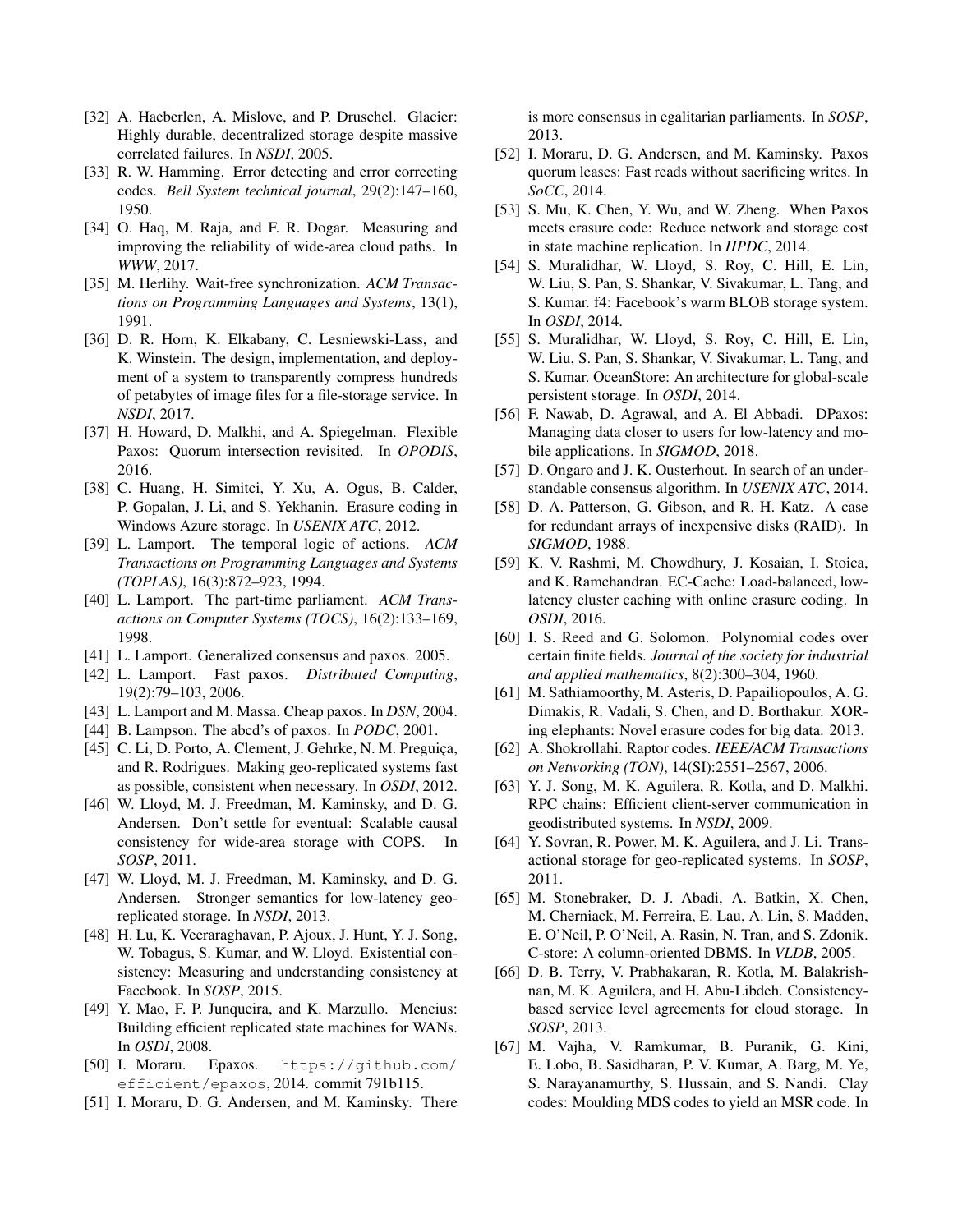- [32] A. Haeberlen, A. Mislove, and P. Druschel. Glacier: Highly durable, decentralized storage despite massive correlated failures. In *NSDI*, 2005.
- [33] R. W. Hamming. Error detecting and error correcting codes. *Bell System technical journal*, 29(2):147–160, 1950.
- [34] O. Haq, M. Raja, and F. R. Dogar. Measuring and improving the reliability of wide-area cloud paths. In *WWW*, 2017.
- [35] M. Herlihy. Wait-free synchronization. *ACM Transactions on Programming Languages and Systems*, 13(1), 1991.
- [36] D. R. Horn, K. Elkabany, C. Lesniewski-Lass, and K. Winstein. The design, implementation, and deployment of a system to transparently compress hundreds of petabytes of image files for a file-storage service. In *NSDI*, 2017.
- [37] H. Howard, D. Malkhi, and A. Spiegelman. Flexible Paxos: Quorum intersection revisited. In *OPODIS*, 2016.
- [38] C. Huang, H. Simitci, Y. Xu, A. Ogus, B. Calder, P. Gopalan, J. Li, and S. Yekhanin. Erasure coding in Windows Azure storage. In *USENIX ATC*, 2012.
- [39] L. Lamport. The temporal logic of actions. *ACM Transactions on Programming Languages and Systems (TOPLAS)*, 16(3):872–923, 1994.
- [40] L. Lamport. The part-time parliament. *ACM Transactions on Computer Systems (TOCS)*, 16(2):133–169, 1998.
- [41] L. Lamport. Generalized consensus and paxos. 2005.
- [42] L. Lamport. Fast paxos. *Distributed Computing*, 19(2):79–103, 2006.
- [43] L. Lamport and M. Massa. Cheap paxos. In *DSN*, 2004.
- [44] B. Lampson. The abcd's of paxos. In *PODC*, 2001.
- [45] C. Li, D. Porto, A. Clement, J. Gehrke, N. M. Preguiça, and R. Rodrigues. Making geo-replicated systems fast as possible, consistent when necessary. In *OSDI*, 2012.
- [46] W. Lloyd, M. J. Freedman, M. Kaminsky, and D. G. Andersen. Don't settle for eventual: Scalable causal consistency for wide-area storage with COPS. In *SOSP*, 2011.
- [47] W. Lloyd, M. J. Freedman, M. Kaminsky, and D. G. Andersen. Stronger semantics for low-latency georeplicated storage. In *NSDI*, 2013.
- [48] H. Lu, K. Veeraraghavan, P. Ajoux, J. Hunt, Y. J. Song, W. Tobagus, S. Kumar, and W. Lloyd. Existential consistency: Measuring and understanding consistency at Facebook. In *SOSP*, 2015.
- [49] Y. Mao, F. P. Junqueira, and K. Marzullo. Mencius: Building efficient replicated state machines for WANs. In *OSDI*, 2008.
- [50] I. Moraru. Epaxos. https://github.com/ efficient/epaxos, 2014. commit 791b115.
- [51] I. Moraru, D. G. Andersen, and M. Kaminsky. There

is more consensus in egalitarian parliaments. In *SOSP*, 2013.

- [52] I. Moraru, D. G. Andersen, and M. Kaminsky. Paxos quorum leases: Fast reads without sacrificing writes. In *SoCC*, 2014.
- [53] S. Mu, K. Chen, Y. Wu, and W. Zheng. When Paxos meets erasure code: Reduce network and storage cost in state machine replication. In *HPDC*, 2014.
- [54] S. Muralidhar, W. Lloyd, S. Roy, C. Hill, E. Lin, W. Liu, S. Pan, S. Shankar, V. Sivakumar, L. Tang, and S. Kumar. f4: Facebook's warm BLOB storage system. In *OSDI*, 2014.
- [55] S. Muralidhar, W. Lloyd, S. Roy, C. Hill, E. Lin, W. Liu, S. Pan, S. Shankar, V. Sivakumar, L. Tang, and S. Kumar. OceanStore: An architecture for global-scale persistent storage. In *OSDI*, 2014.
- [56] F. Nawab, D. Agrawal, and A. El Abbadi. DPaxos: Managing data closer to users for low-latency and mobile applications. In *SIGMOD*, 2018.
- [57] D. Ongaro and J. K. Ousterhout. In search of an understandable consensus algorithm. In *USENIX ATC*, 2014.
- [58] D. A. Patterson, G. Gibson, and R. H. Katz. A case for redundant arrays of inexpensive disks (RAID). In *SIGMOD*, 1988.
- [59] K. V. Rashmi, M. Chowdhury, J. Kosaian, I. Stoica, and K. Ramchandran. EC-Cache: Load-balanced, lowlatency cluster caching with online erasure coding. In *OSDI*, 2016.
- [60] I. S. Reed and G. Solomon. Polynomial codes over certain finite fields. *Journal of the society for industrial and applied mathematics*, 8(2):300–304, 1960.
- [61] M. Sathiamoorthy, M. Asteris, D. Papailiopoulos, A. G. Dimakis, R. Vadali, S. Chen, and D. Borthakur. XORing elephants: Novel erasure codes for big data. 2013.
- [62] A. Shokrollahi. Raptor codes. *IEEE/ACM Transactions on Networking (TON)*, 14(SI):2551–2567, 2006.
- [63] Y. J. Song, M. K. Aguilera, R. Kotla, and D. Malkhi. RPC chains: Efficient client-server communication in geodistributed systems. In *NSDI*, 2009.
- [64] Y. Sovran, R. Power, M. K. Aguilera, and J. Li. Transactional storage for geo-replicated systems. In *SOSP*, 2011.
- [65] M. Stonebraker, D. J. Abadi, A. Batkin, X. Chen, M. Cherniack, M. Ferreira, E. Lau, A. Lin, S. Madden, E. O'Neil, P. O'Neil, A. Rasin, N. Tran, and S. Zdonik. C-store: A column-oriented DBMS. In *VLDB*, 2005.
- [66] D. B. Terry, V. Prabhakaran, R. Kotla, M. Balakrishnan, M. K. Aguilera, and H. Abu-Libdeh. Consistencybased service level agreements for cloud storage. In *SOSP*, 2013.
- [67] M. Vajha, V. Ramkumar, B. Puranik, G. Kini, E. Lobo, B. Sasidharan, P. V. Kumar, A. Barg, M. Ye, S. Narayanamurthy, S. Hussain, and S. Nandi. Clay codes: Moulding MDS codes to yield an MSR code. In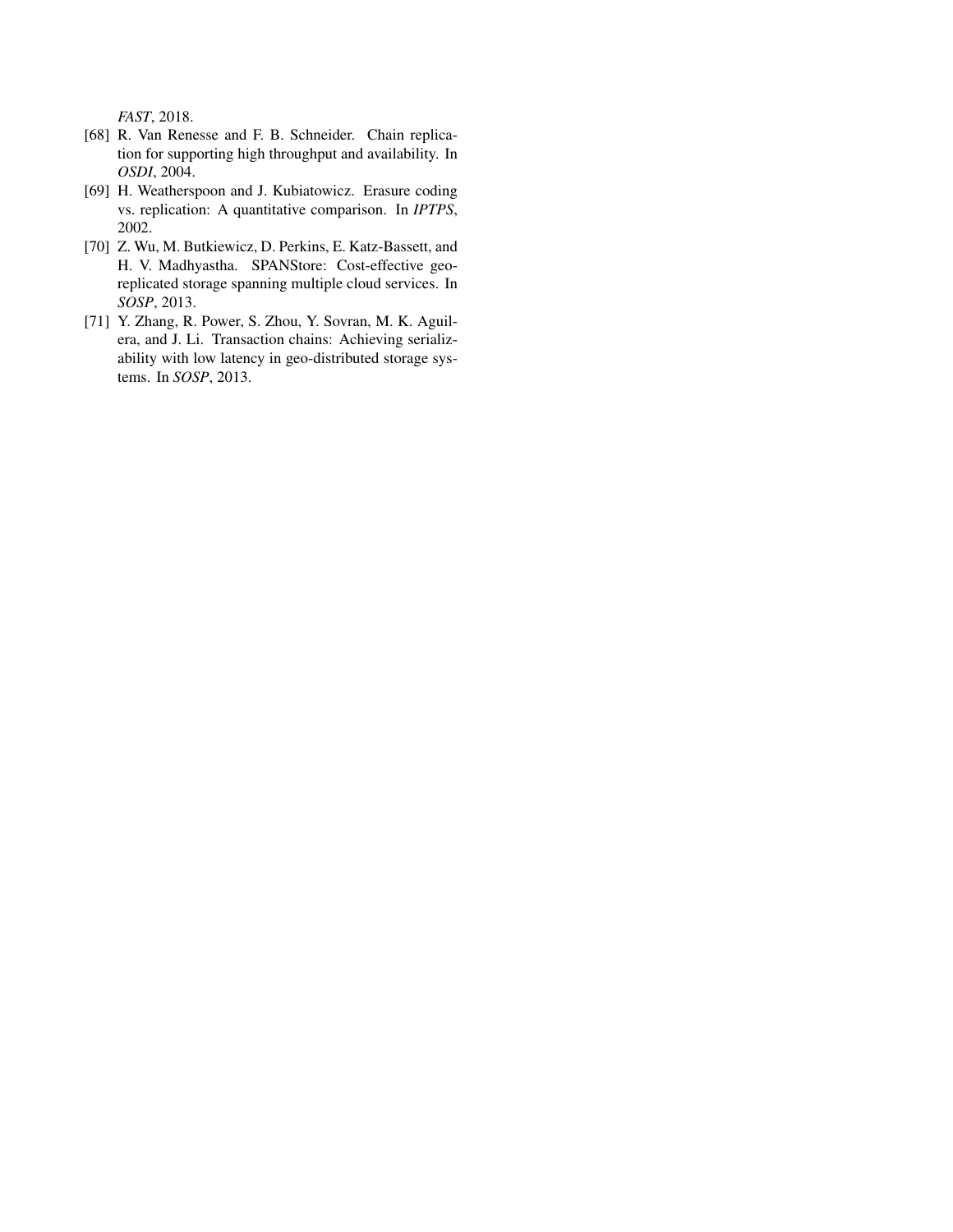*FAST*, 2018.

- [68] R. Van Renesse and F. B. Schneider. Chain replication for supporting high throughput and availability. In *OSDI*, 2004.
- [69] H. Weatherspoon and J. Kubiatowicz. Erasure coding vs. replication: A quantitative comparison. In *IPTPS*, 2002.
- [70] Z. Wu, M. Butkiewicz, D. Perkins, E. Katz-Bassett, and H. V. Madhyastha. SPANStore: Cost-effective georeplicated storage spanning multiple cloud services. In *SOSP*, 2013.
- [71] Y. Zhang, R. Power, S. Zhou, Y. Sovran, M. K. Aguilera, and J. Li. Transaction chains: Achieving serializability with low latency in geo-distributed storage systems. In *SOSP*, 2013.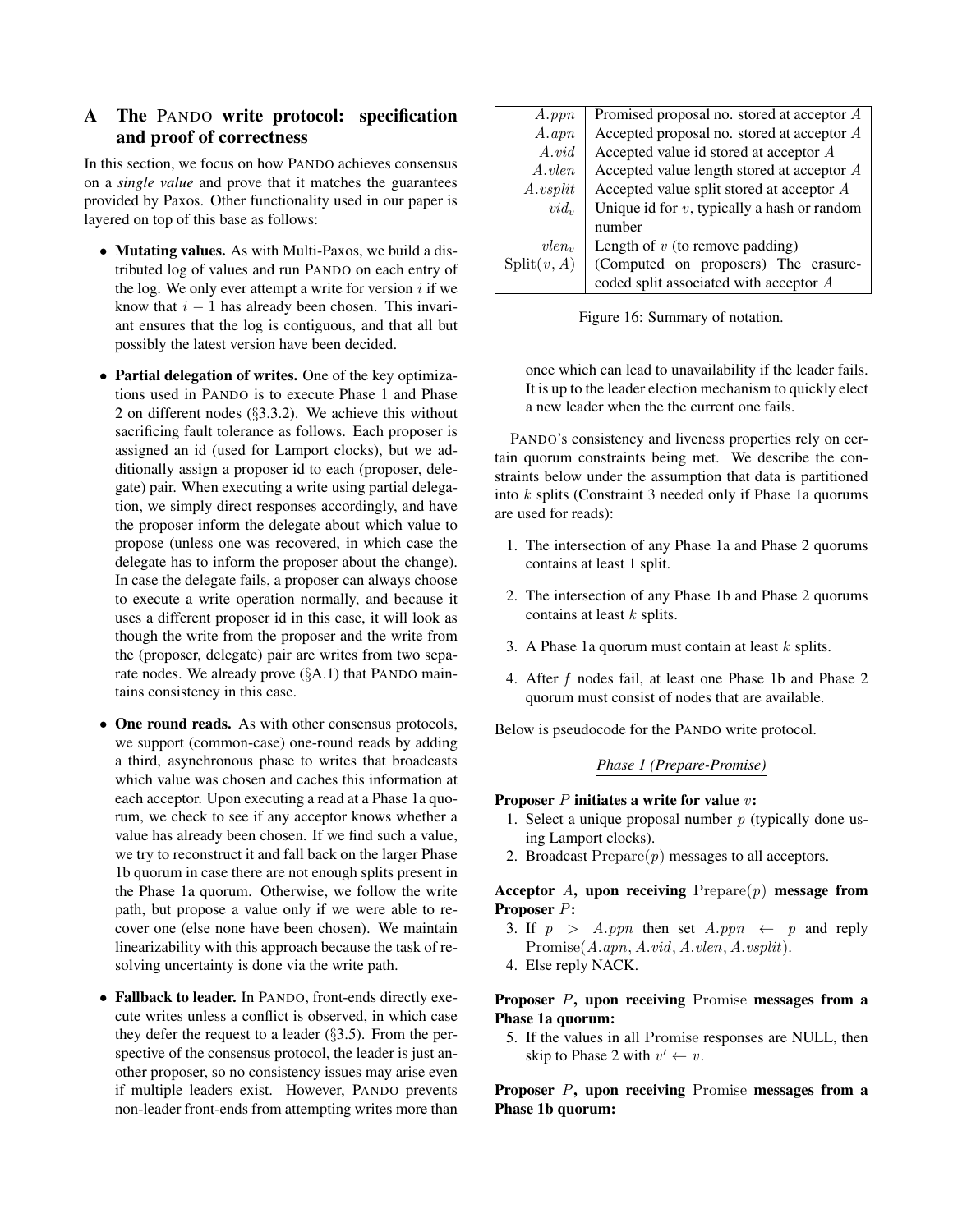# A The PANDO write protocol: specification and proof of correctness

In this section, we focus on how PANDO achieves consensus on a *single value* and prove that it matches the guarantees provided by Paxos. Other functionality used in our paper is layered on top of this base as follows:

- Mutating values. As with Multi-Paxos, we build a distributed log of values and run PANDO on each entry of the log. We only ever attempt a write for version  $i$  if we know that  $i - 1$  has already been chosen. This invariant ensures that the log is contiguous, and that all but possibly the latest version have been decided.
- Partial delegation of writes. One of the key optimizations used in PANDO is to execute Phase 1 and Phase 2 on different nodes (§3.3.2). We achieve this without sacrificing fault tolerance as follows. Each proposer is assigned an id (used for Lamport clocks), but we additionally assign a proposer id to each (proposer, delegate) pair. When executing a write using partial delegation, we simply direct responses accordingly, and have the proposer inform the delegate about which value to propose (unless one was recovered, in which case the delegate has to inform the proposer about the change). In case the delegate fails, a proposer can always choose to execute a write operation normally, and because it uses a different proposer id in this case, it will look as though the write from the proposer and the write from the (proposer, delegate) pair are writes from two separate nodes. We already prove (§A.1) that PANDO maintains consistency in this case.
- One round reads. As with other consensus protocols, we support (common-case) one-round reads by adding a third, asynchronous phase to writes that broadcasts which value was chosen and caches this information at each acceptor. Upon executing a read at a Phase 1a quorum, we check to see if any acceptor knows whether a value has already been chosen. If we find such a value, we try to reconstruct it and fall back on the larger Phase 1b quorum in case there are not enough splits present in the Phase 1a quorum. Otherwise, we follow the write path, but propose a value only if we were able to recover one (else none have been chosen). We maintain linearizability with this approach because the task of resolving uncertainty is done via the write path.
- Fallback to leader. In PANDO, front-ends directly execute writes unless a conflict is observed, in which case they defer the request to a leader  $(\S 3.5)$ . From the perspective of the consensus protocol, the leader is just another proposer, so no consistency issues may arise even if multiple leaders exist. However, PANDO prevents non-leader front-ends from attempting writes more than

| A.ppn            | Promised proposal no. stored at acceptor A     |  |  |
|------------------|------------------------------------------------|--|--|
| $A.$ apn         | Accepted proposal no. stored at acceptor A     |  |  |
| $A$ , vid.       | Accepted value id stored at acceptor A         |  |  |
| $A.$ <i>vlen</i> | Accepted value length stored at acceptor A     |  |  |
| $A.\nusplit$     | Accepted value split stored at acceptor A      |  |  |
| $vid_{v}$        | Unique id for $v$ , typically a hash or random |  |  |
|                  | number                                         |  |  |
| $vlen_n$         | Length of $v$ (to remove padding)              |  |  |
| Split(v, A)      | (Computed on proposers) The erasure-           |  |  |
|                  | coded split associated with acceptor A         |  |  |

Figure 16: Summary of notation.

once which can lead to unavailability if the leader fails. It is up to the leader election mechanism to quickly elect a new leader when the the current one fails.

PANDO's consistency and liveness properties rely on certain quorum constraints being met. We describe the constraints below under the assumption that data is partitioned into k splits (Constraint 3 needed only if Phase 1a quorums are used for reads):

- 1. The intersection of any Phase 1a and Phase 2 quorums contains at least 1 split.
- 2. The intersection of any Phase 1b and Phase 2 quorums contains at least  $k$  splits.
- 3. A Phase 1a quorum must contain at least  $k$  splits.
- 4. After f nodes fail, at least one Phase 1b and Phase 2 quorum must consist of nodes that are available.

Below is pseudocode for the PANDO write protocol.

# *Phase 1 (Prepare-Promise)*

#### Proposer  $P$  initiates a write for value  $v$ :

- 1. Select a unique proposal number  $p$  (typically done using Lamport clocks).
- 2. Broadcast  $Prepare(p)$  messages to all acceptors.

Acceptor  $A$ , upon receiving  $Prepare(p)$  message from Proposer P:

- 3. If  $p > A.ppn$  then set  $A.ppn \leftarrow p$  and reply Promise(A.apn, A.vid, A.vlen, A.vsplit).
- 4. Else reply NACK.

# **Proposer**  $P$ **, upon receiving Promise messages from a** Phase 1a quorum:

5. If the values in all Promise responses are NULL, then skip to Phase 2 with  $v' \leftarrow v$ .

Proposer P, upon receiving Promise messages from a Phase 1b quorum: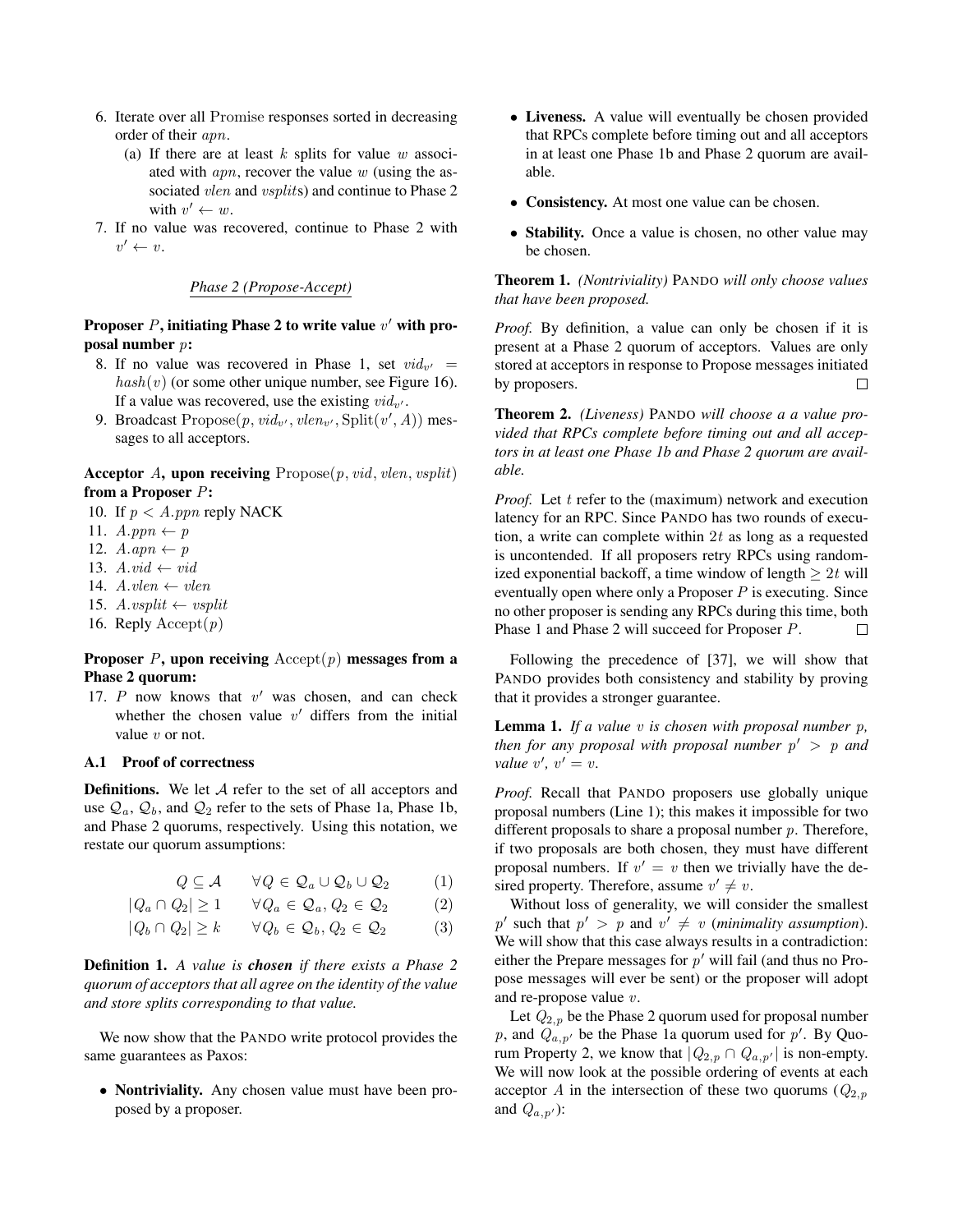- 6. Iterate over all Promise responses sorted in decreasing order of their apn.
	- (a) If there are at least  $k$  splits for value  $w$  associated with  $apn$ , recover the value w (using the associated vlen and vsplits) and continue to Phase 2 with  $v' \leftarrow w$ .
- 7. If no value was recovered, continue to Phase 2 with  $v' \leftarrow v.$

### *Phase 2 (Propose-Accept)*

## Proposer  $P$ , initiating Phase 2 to write value  $v'$  with proposal number p:

- 8. If no value was recovered in Phase 1, set  $vid_{v'}$  =  $hash(v)$  (or some other unique number, see Figure 16). If a value was recovered, use the existing  $vid_{v'}$ .
- 9. Broadcast  $Propose(p, vid_{v'}, vlen_{v'}, Split(v', A))$  messages to all acceptors.

Acceptor A, upon receiving  $Propose(p, vid, vlen, vsplit)$ from a Proposer  $P$ :

- 10. If  $p < A.ppn$  reply NACK
- 11.  $A.ppn \leftarrow p$
- 12.  $A.$ *apn*  $\leftarrow$  *p*
- 13.  $A$ .*vid*  $\leftarrow$  *vid*
- 14.  $A.$ *vlen*  $\leftarrow$  *vlen*
- 15. A.vsplit  $\leftarrow vsplit$
- 16. Reply  $Accept(p)$

## Proposer  $P$ , upon receiving  $Accept(p)$  messages from a Phase 2 quorum:

17.  $P$  now knows that  $v'$  was chosen, and can check whether the chosen value  $v'$  differs from the initial value v or not.

### A.1 Proof of correctness

Definitions. We let A refer to the set of all acceptors and use  $\mathcal{Q}_a$ ,  $\mathcal{Q}_b$ , and  $\mathcal{Q}_2$  refer to the sets of Phase 1a, Phase 1b, and Phase 2 quorums, respectively. Using this notation, we restate our quorum assumptions:

$$
Q \subseteq \mathcal{A} \qquad \forall Q \in \mathcal{Q}_a \cup \mathcal{Q}_b \cup \mathcal{Q}_2 \tag{1}
$$

$$
|Q_a \cap Q_2| \ge 1 \qquad \forall Q_a \in \mathcal{Q}_a, Q_2 \in \mathcal{Q}_2 \tag{2}
$$

$$
|Q_b \cap Q_2| \ge k \qquad \forall Q_b \in \mathcal{Q}_b, Q_2 \in \mathcal{Q}_2 \tag{3}
$$

Definition 1. *A value is chosen if there exists a Phase 2 quorum of acceptors that all agree on the identity of the value and store splits corresponding to that value.*

We now show that the PANDO write protocol provides the same guarantees as Paxos:

• **Nontriviality.** Any chosen value must have been proposed by a proposer.

- Liveness. A value will eventually be chosen provided that RPCs complete before timing out and all acceptors in at least one Phase 1b and Phase 2 quorum are available.
- Consistency. At most one value can be chosen.
- Stability. Once a value is chosen, no other value may be chosen.

Theorem 1. *(Nontriviality)* PANDO *will only choose values that have been proposed.*

*Proof.* By definition, a value can only be chosen if it is present at a Phase 2 quorum of acceptors. Values are only stored at acceptors in response to Propose messages initiated by proposers.  $\Box$ 

Theorem 2. *(Liveness)* PANDO *will choose a a value provided that RPCs complete before timing out and all acceptors in at least one Phase 1b and Phase 2 quorum are available.*

*Proof.* Let t refer to the (maximum) network and execution latency for an RPC. Since PANDO has two rounds of execution, a write can complete within  $2t$  as long as a requested is uncontended. If all proposers retry RPCs using randomized exponential backoff, a time window of length  $\geq 2t$  will eventually open where only a Proposer  $P$  is executing. Since no other proposer is sending any RPCs during this time, both Phase 1 and Phase 2 will succeed for Proposer P. П

Following the precedence of [37], we will show that PANDO provides both consistency and stability by proving that it provides a stronger guarantee.

Lemma 1. *If a value* v *is chosen with proposal number* p*, then for any proposal with proposal number* p <sup>0</sup> > p *and value*  $v'$ *,*  $v' = v$ *.* 

*Proof.* Recall that PANDO proposers use globally unique proposal numbers (Line 1); this makes it impossible for two different proposals to share a proposal number  $p$ . Therefore, if two proposals are both chosen, they must have different proposal numbers. If  $v' = v$  then we trivially have the desired property. Therefore, assume  $v' \neq v$ .

Without loss of generality, we will consider the smallest p' such that  $p' > p$  and  $v' \neq v$  (*minimality assumption*). We will show that this case always results in a contradiction: either the Prepare messages for  $p'$  will fail (and thus no Propose messages will ever be sent) or the proposer will adopt and re-propose value  $v$ .

Let  $Q_{2,p}$  be the Phase 2 quorum used for proposal number p, and  $Q_{a,p'}$  be the Phase 1a quorum used for p'. By Quorum Property 2, we know that  $|Q_{2,p} \cap Q_{a,p'}|$  is non-empty. We will now look at the possible ordering of events at each acceptor A in the intersection of these two quorums  $(Q_{2,p})$ and  $Q_{a,p'}$ ):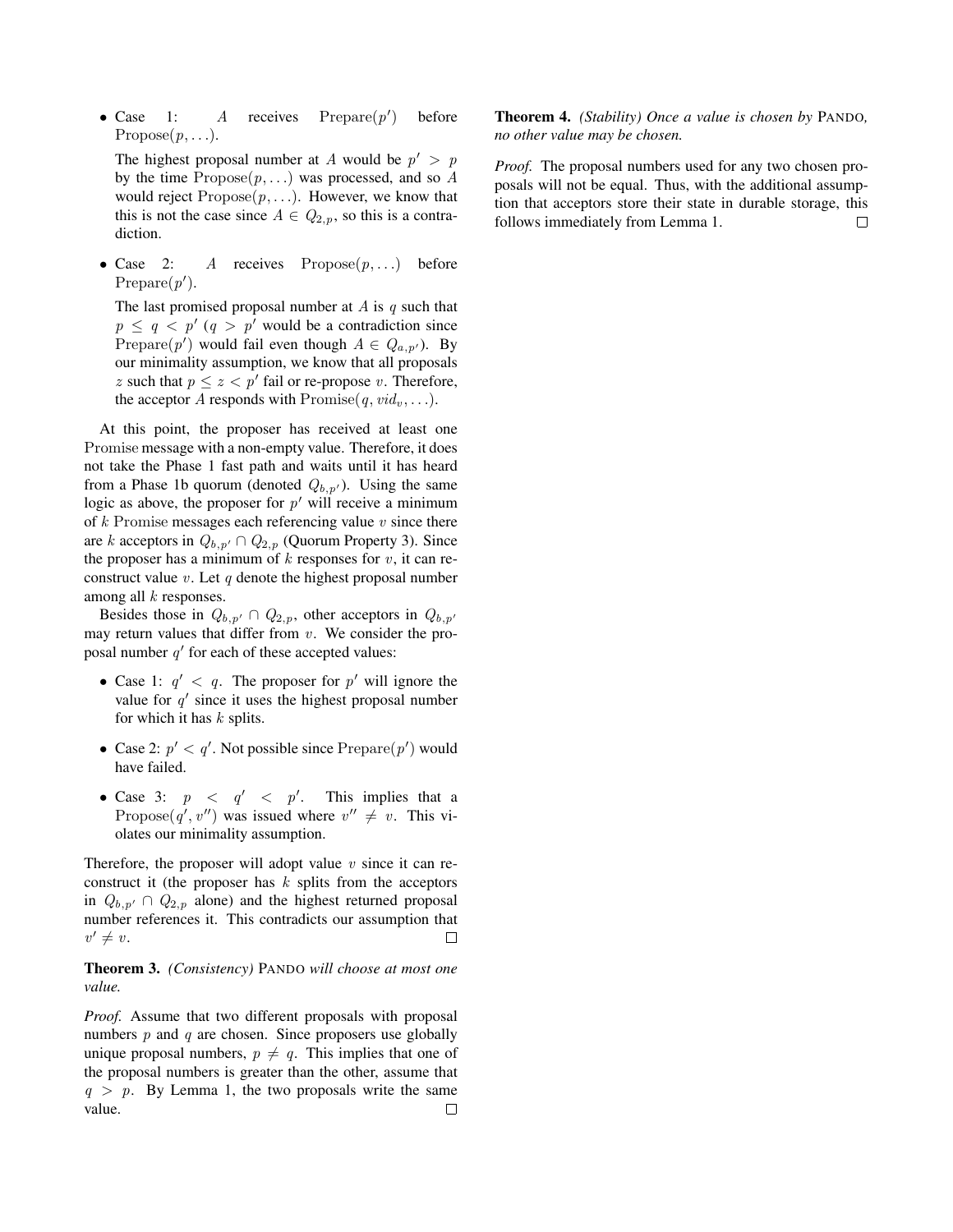• Case 1: A receives  $Prepare(p'$ ) before  $Propose(p, \ldots).$ 

The highest proposal number at A would be  $p' > p$ by the time  $Propose(p, \ldots)$  was processed, and so A would reject  $Propose(p, \ldots)$ . However, we know that this is not the case since  $A \in Q_{2,p}$ , so this is a contradiction.

• Case 2: A receives  $Propose(p,...)$  before  $Prepare(p').$ 

The last promised proposal number at  $A$  is  $q$  such that  $p \leq q < p' \ (q > p' \text{ would be a contradiction since})$ Prepare(p') would fail even though  $A \in Q_{a,p'}$ ). By our minimality assumption, we know that all proposals z such that  $p \leq z < p'$  fail or re-propose v. Therefore, the acceptor A responds with  $P$ romise $(q, vid_v, \ldots)$ .

At this point, the proposer has received at least one Promise message with a non-empty value. Therefore, it does not take the Phase 1 fast path and waits until it has heard from a Phase 1b quorum (denoted  $Q_{b,p'}$ ). Using the same logic as above, the proposer for  $p'$  will receive a minimum of  $k$  Promise messages each referencing value  $v$  since there are k acceptors in  $Q_{b,p'} \cap Q_{2,p}$  (Quorum Property 3). Since the proposer has a minimum of  $k$  responses for  $v$ , it can reconstruct value v. Let q denote the highest proposal number among all  $k$  responses.

Besides those in  $Q_{b,p'} \cap Q_{2,p}$ , other acceptors in  $Q_{b,p'}$ may return values that differ from  $v$ . We consider the proposal number  $q'$  for each of these accepted values:

- Case 1:  $q' < q$ . The proposer for p' will ignore the value for  $q'$  since it uses the highest proposal number for which it has  $k$  splits.
- Case 2:  $p' < q'$ . Not possible since  $Prepare(p')$  would have failed.
- Case 3:  $p \le q' \le p'$ . This implies that a Propose $(q', v'')$  was issued where  $v'' \neq v$ . This violates our minimality assumption.

Therefore, the proposer will adopt value  $v$  since it can reconstruct it (the proposer has  $k$  splits from the acceptors in  $Q_{b,p'} \cap Q_{2,p}$  alone) and the highest returned proposal number references it. This contradicts our assumption that  $v' \neq v.$  $\Box$ 

Theorem 3. *(Consistency)* PANDO *will choose at most one value.*

*Proof.* Assume that two different proposals with proposal numbers  $p$  and  $q$  are chosen. Since proposers use globally unique proposal numbers,  $p \neq q$ . This implies that one of the proposal numbers is greater than the other, assume that  $q > p$ . By Lemma 1, the two proposals write the same value.  $\Box$  Theorem 4. *(Stability) Once a value is chosen by* PANDO*, no other value may be chosen.*

*Proof.* The proposal numbers used for any two chosen proposals will not be equal. Thus, with the additional assumption that acceptors store their state in durable storage, this follows immediately from Lemma 1. $\Box$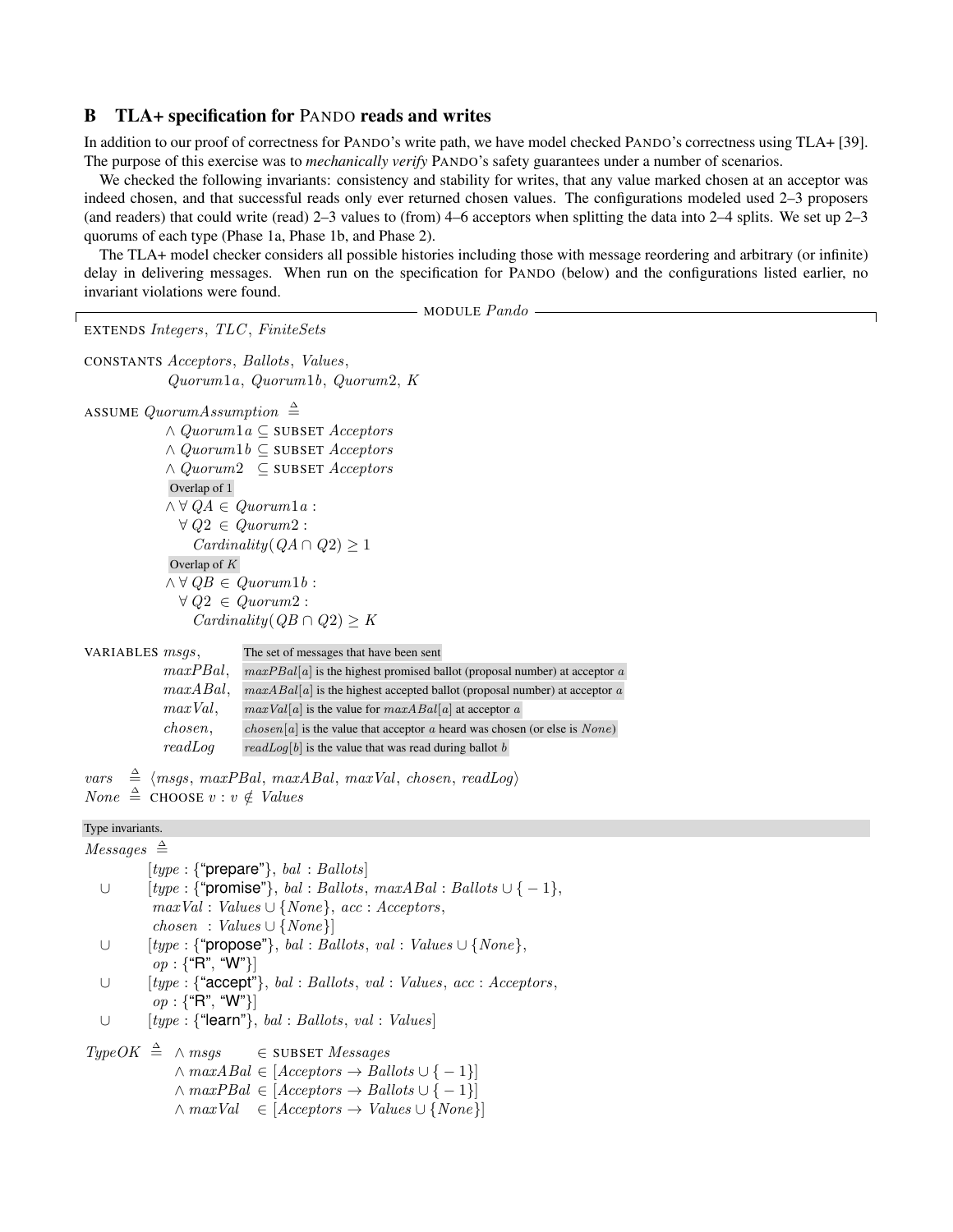## B TLA+ specification for PANDO reads and writes

In addition to our proof of correctness for PANDO's write path, we have model checked PANDO's correctness using TLA+ [39]. The purpose of this exercise was to *mechanically verify* PANDO's safety guarantees under a number of scenarios.

We checked the following invariants: consistency and stability for writes, that any value marked chosen at an acceptor was indeed chosen, and that successful reads only ever returned chosen values. The configurations modeled used 2–3 proposers (and readers) that could write (read) 2–3 values to (from) 4–6 acceptors when splitting the data into 2–4 splits. We set up 2–3 quorums of each type (Phase 1a, Phase 1b, and Phase 2).

The TLA+ model checker considers all possible histories including those with message reordering and arbitrary (or infinite) delay in delivering messages. When run on the specification for PANDO (below) and the configurations listed earlier, no invariant violations were found.

 $-$  module  $Pando$ .

EXTENDS Integers, TLC , FiniteSets

CONSTANTS Acceptors, Ballots, Values, Quorum1a, Quorum1b, Quorum2, K

```
ASSUME QuorumAssumption \triangleq
```

```
∧ Quorum1a ⊆ SUBSET Acceptors
∧ Quorum1b ⊆ SUBSET Acceptors
∧ Quorum2 ⊆ SUBSET Acceptors
Overlap of 1
\land \forall QA \in Quantum1a:
  \forall Q2 \in Quorum2 :
    Cardinality(QA \cap Q2) \geq 1Overlap of K
\land \forall QB \in Quantum1b:
 \forall Q2 \in Quorum2 :
    Cardinality(QB \cap Q2) \geq K
```

| VARIABLES msgs, |             | The set of messages that have been sent                                             |
|-----------------|-------------|-------------------------------------------------------------------------------------|
|                 | maxPBal.    | $maxPBal[a]$ is the highest promised ballot (proposal number) at acceptor a         |
|                 | $maxABal$ , | $maxABal[a]$ is the highest accepted ballot (proposal number) at acceptor a         |
|                 | maxVal.     | $maxVal[a]$ is the value for $maxABal[a]$ at acceptor a                             |
|                 | chosen,     | $chosen[a]$ is the value that acceptor a heard was chosen (or else is <i>None</i> ) |
|                 | readLog     | $readLog[b]$ is the value that was read during ballot b                             |

vars  $\triangleq$   $\langle msgs, \, maxPBal, \, maxABal, \, maxVal, \, chosen, \, readLog \rangle$  $None \triangleq CDAOOSE v : v \notin Values$ 

# Type invariants.

 $Messages \triangleq$  $[type: {\text{``prepare''}}, bal: Ballots]$ ∪  $[type : {\text{``promise''}}, bal : Ballots, maxABal : Ballots \cup \{-1\},$  $maxVal$  : Values  $\cup$  {None}, acc : Acceptors,  $chosen : Values \cup \{None\}$ ∪  $[type: {\text{``propose''}}\}, bal : Ballots, val : Values \cup \{None\},\$  $op:$  {"R", "W"}] ∪ [type : {"accept"}, bal : Ballots, val : Values, acc : Acceptors,  $op:$  {"R", "W"}] ∪ [type : {"learn"}, bal : Ballots, val : Values]  $TypeOK \triangleq \wedge msgs \in SUBSET Messages$  $\land$  maxABal ∈ [Acceptors  $\rightarrow$  Ballots ∪ { - 1}]  $\land \textit{maxPBal} \in [Acceptors \rightarrow Ballots \cup \{-1\}]$ 

 $\land$  maxVal  $\in$  [Acceptors  $\rightarrow$  Values  $\cup$  {None}]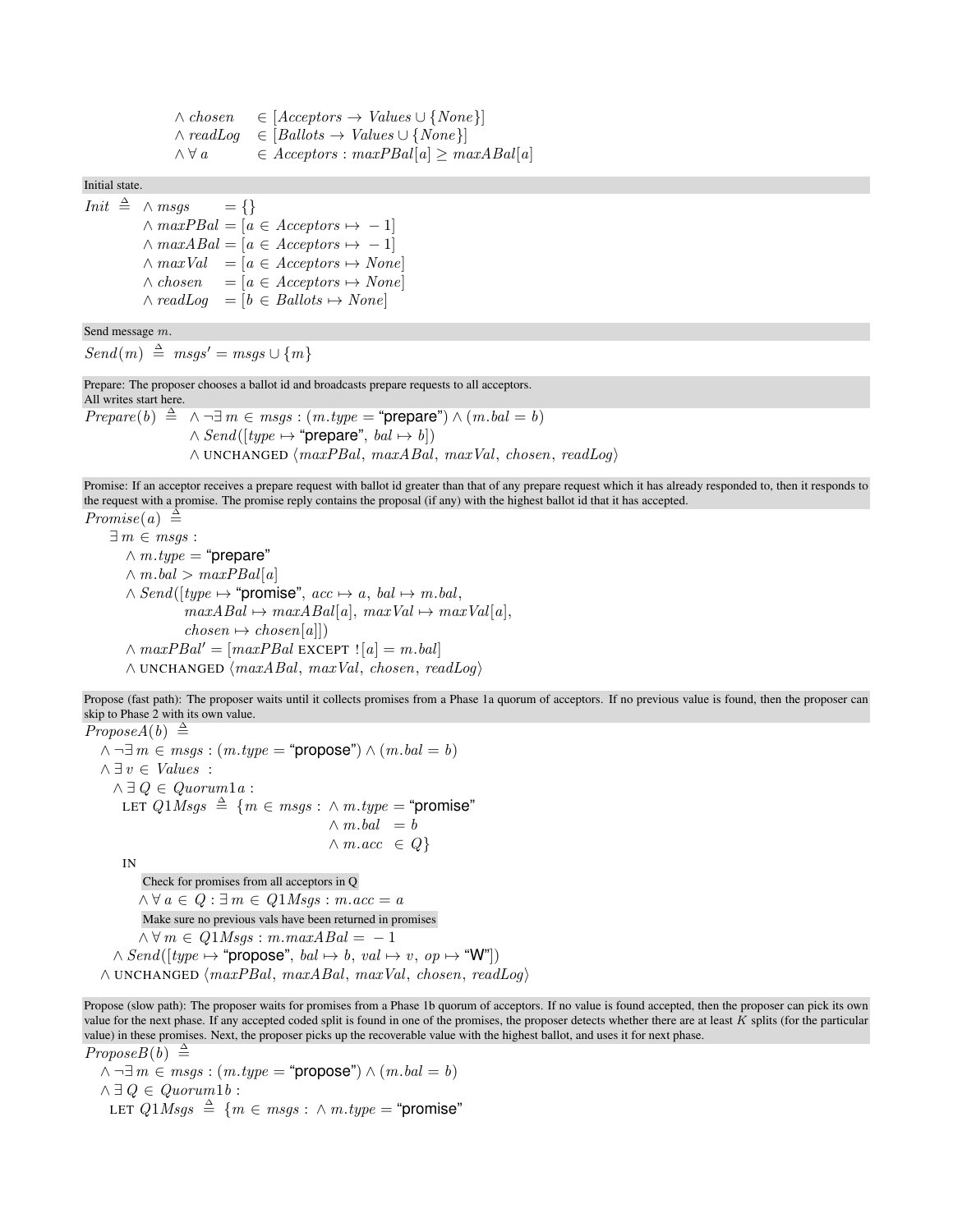```
\land chosen \in [Acceptors \rightarrow Values \cup \{None\}]\land \text{readLog} \in [Ballots \rightarrow Values \cup \{None\}]\wedge \forall a \in Acceptors : maxPBal[a] \geq maxABal[a]
```
Initial state.

 $Init \triangleq \wedge msgs = \{\}$  $\land$  maxPBal = [a  $\in$  Acceptors  $\mapsto$  - 1]  $\land$  maxABal = [a  $\in$  Acceptors  $\mapsto$  - 1]  $\land$  maxVal = [a  $\in$  Acceptors  $\mapsto$  None]  $\land chosen = [a \in Access \mapsto None]$  $\land \text{readLog} = [b \in \text{Ballots} \mapsto \text{None}]$ 

### Send message m.

 $Send(m) \triangleq msgs' = msgs \cup \{m\}$ 

Prepare: The proposer chooses a ballot id and broadcasts prepare requests to all acceptors. All writes start here.  $Prepare(b) \triangleq \wedge \neg \exists m \in msgs : (m.\textit{type} = \text{``prepare''}) \wedge (m.\textit{bal} = b)$  $\land$  Send([type  $\mapsto$  "prepare", bal  $\mapsto$  b])  $\land$  UNCHANGED  $\langle maxPBal, maxABal, maxVal, chosen, readLog \rangle$ 

Promise: If an acceptor receives a prepare request with ballot id greater than that of any prepare request which it has already responded to, then it responds to the request with a promise. The promise reply contains the proposal (if any) with the highest ballot id that it has accepted.  $Promise(a) \triangleq$ 

 $\exists m \in msgs :$  $\wedge m.type = "prepare"$  $\land$  m.bal  $> maxPBal[a]$  $\land Send([type \mapsto "promise", acc \mapsto a, bal \mapsto m.bal,$  $maxABal \rightarrow maxABal[a], maxVal \rightarrow maxVal[a],$  $chosen \mapsto chosen[a]]$  $\wedge$  maxPBal' = [maxPBal EXCEPT  $! [a] = m$ .bal]  $\land$  UNCHANGED  $\langle maxABal, maxVal, chosen, readLog \rangle$ 

Propose (fast path): The proposer waits until it collects promises from a Phase 1a quorum of acceptors. If no previous value is found, then the proposer can skip to Phase 2 with its own value.

 $ProposeA(b) \triangleq$  $\land \neg \exists m \in msgs : (m.type = "propose") \land (m.bal = b)$  $\land \exists v \in Values$ :  $\land \exists Q \in \mathit{Quorum1a}$ : LET  $Q1Msgs \triangleq {m \in msgs : \wedge m.type = "promise"}$  $\wedge m \cdot bal = b$  $\land$  m.acc  $\in Q$ }

IN

Check for promises from all acceptors in Q  $\wedge \forall a \in Q : \exists m \in Q1Msgs : m.acc = a$ Make sure no previous vals have been returned in promises  $\wedge \forall m \in Q1Msgs : m.maxABal = -1$  $\land Send([type \mapsto "propose", bal \mapsto b, val \mapsto v, op \mapsto "W"]$ )  $\land$  UNCHANGED  $\langle maxPBal, maxABal, maxVal, chosen, readLog \rangle$ 

```
ProposeB(b) \triangleq\land \neg \exists m \in msgs : (m.type = "propose") \land (m.bal = b)\land \exists Q \in \mathit{Quorum1b}:
    LET Q1Msgs \triangleq \{m \in msgs : \wedge m.type = "promise" \}
```
Propose (slow path): The proposer waits for promises from a Phase 1b quorum of acceptors. If no value is found accepted, then the proposer can pick its own value for the next phase. If any accepted coded split is found in one of the promises, the proposer detects whether there are at least K splits (for the particular value) in these promises. Next, the proposer picks up the recoverable value with the highest ballot, and uses it for next phase.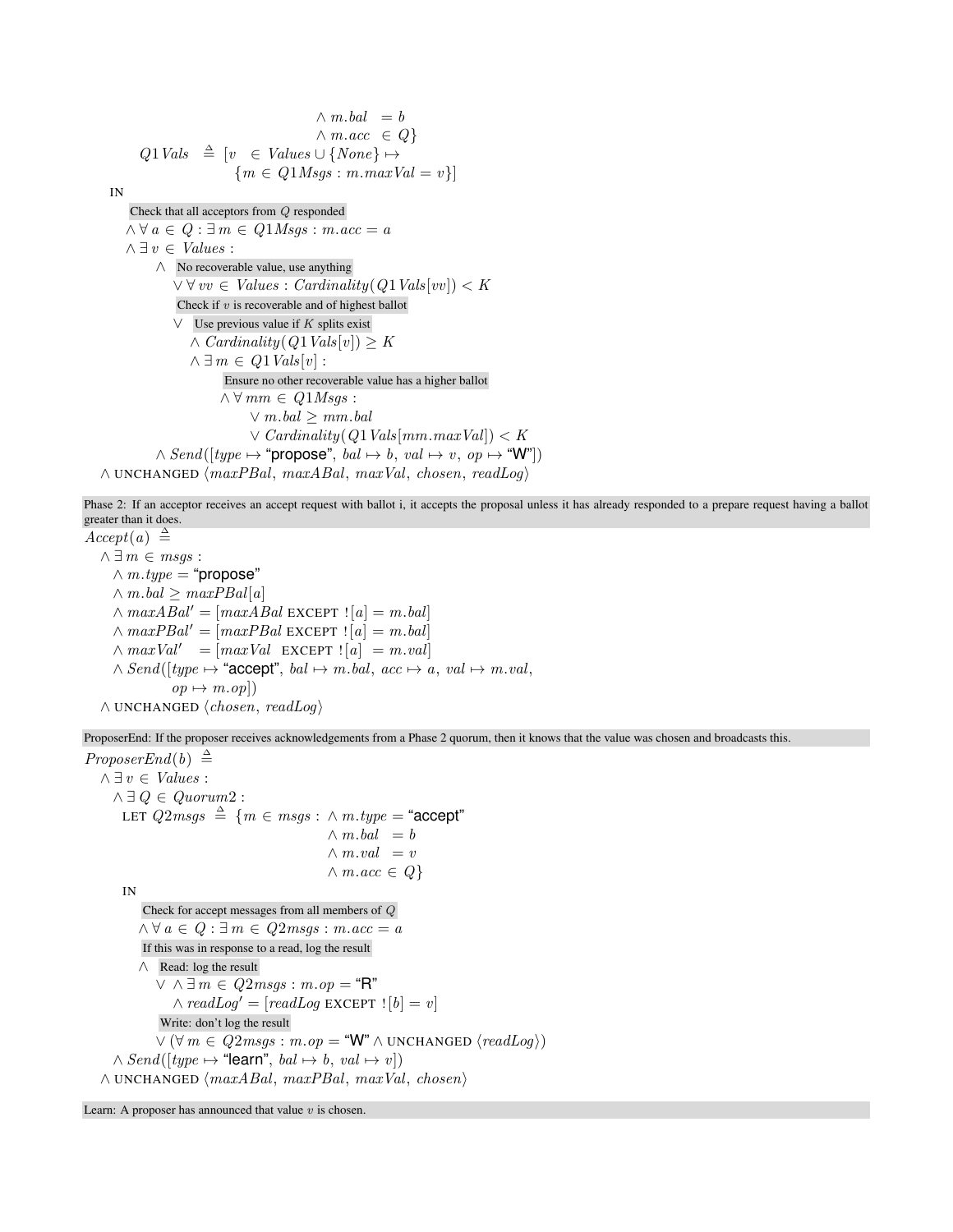```
\wedge m \cdot bal = b\land m.ac \in Q}
Q1 \text{ Vals} \triangleq [v \in Values \cup \{None\} \mapsto{m \in Q1Msgs : m.maxVal = v}
```
IN

```
Check that all acceptors from Q responded
    \wedge \forall a \in Q : \exists m \in Q1Msgs : m.acc = a\land \exists v \in Values:∧ No recoverable value, use anything
             \forall \forall vv \in Values : Cardinality(Q1 Vals[vv]) < KCheck if v is recoverable and of highest ballot
             \vee Use previous value if K splits exist
                 \wedge Cardinality (Q1 Vals[v]) \geq K\wedge \exists m \in Q1Vals[v]:
                       Ensure no other recoverable value has a higher ballot
                      \wedge \forall mm \in Q1Msqs :
                            \vee m.bal > mm.bal
                            \vee Cardinality(Q1Vals[mm.maxVal]) < K
          \land Send([type \mapsto "propose", bal \mapsto b, val \mapsto v, op \mapsto "W"])\land UNCHANGED \langle maxPBal, maxABal, maxVal, chosen, readLog \rangle
```
Phase 2: If an acceptor receives an accept request with ballot i, it accepts the proposal unless it has already responded to a prepare request having a ballot greater than it does.

 $Accept(a) \triangleq$  $\land \exists m \in msgs :$  $\wedge m.type = "propose"$  $\land$  m.bal  $\geq$  maxPBal[a]  $\wedge$  maxABal' = [maxABal EXCEPT  $|a| = m$ .bal]  $\wedge$  maxPBal' = [maxPBal EXCEPT  $|a| = m$ .bal]  $\wedge \maxVal' = [\maxVal \text{ ExCEPT} : [a] = m.val]$  $\land Send([type \mapsto "accept", bal \mapsto m.bal, acc \mapsto a, val \mapsto m.val,$  $op \mapsto m.op$ )  $\land$  UNCHANGED  $\langle chosen, readLog \rangle$ 

ProposerEnd: If the proposer receives acknowledgements from a Phase 2 quorum, then it knows that the value was chosen and broadcasts this.

 $ProposerEnd(b) \triangleq$  $\land \exists v \in Values:$  $\land \exists Q \in \mathit{Quorum2}$ : LET  $Q2msgs \ \triangleq \ \{m \in msgs: \ \land \ m.type = \texttt{``accept''}$  $\wedge m \cdot bal = b$  $\wedge m.val = v$  $\land$  m.acc  $\in$   $Q$ } IN Check for accept messages from all members of Q  $\wedge \forall a \in Q : \exists m \in Q2msqs : m.acc = a$ If this was in response to a read, log the result ∧ Read: log the result  $∨ ∧ ∃ m ∈ Q2msgs : m.op = "R"$  $\wedge \text{readLog}' = [\text{readLog EXCEPT} : [b] = v]$ Write: don't log the result  $\vee$  ( $\forall$   $m \in Q2$ msgs :  $m.op = \text{``W''} \wedge \text{UNCHANGED} \langle \text{readLog} \rangle$ )  $\land Send([type \mapsto "learn", bal \mapsto b, val \mapsto v])$  $\land$  UNCHANGED  $\langle maxABal, maxPBal, maxVal, chosen \rangle$ 

Learn: A proposer has announced that value  $v$  is chosen.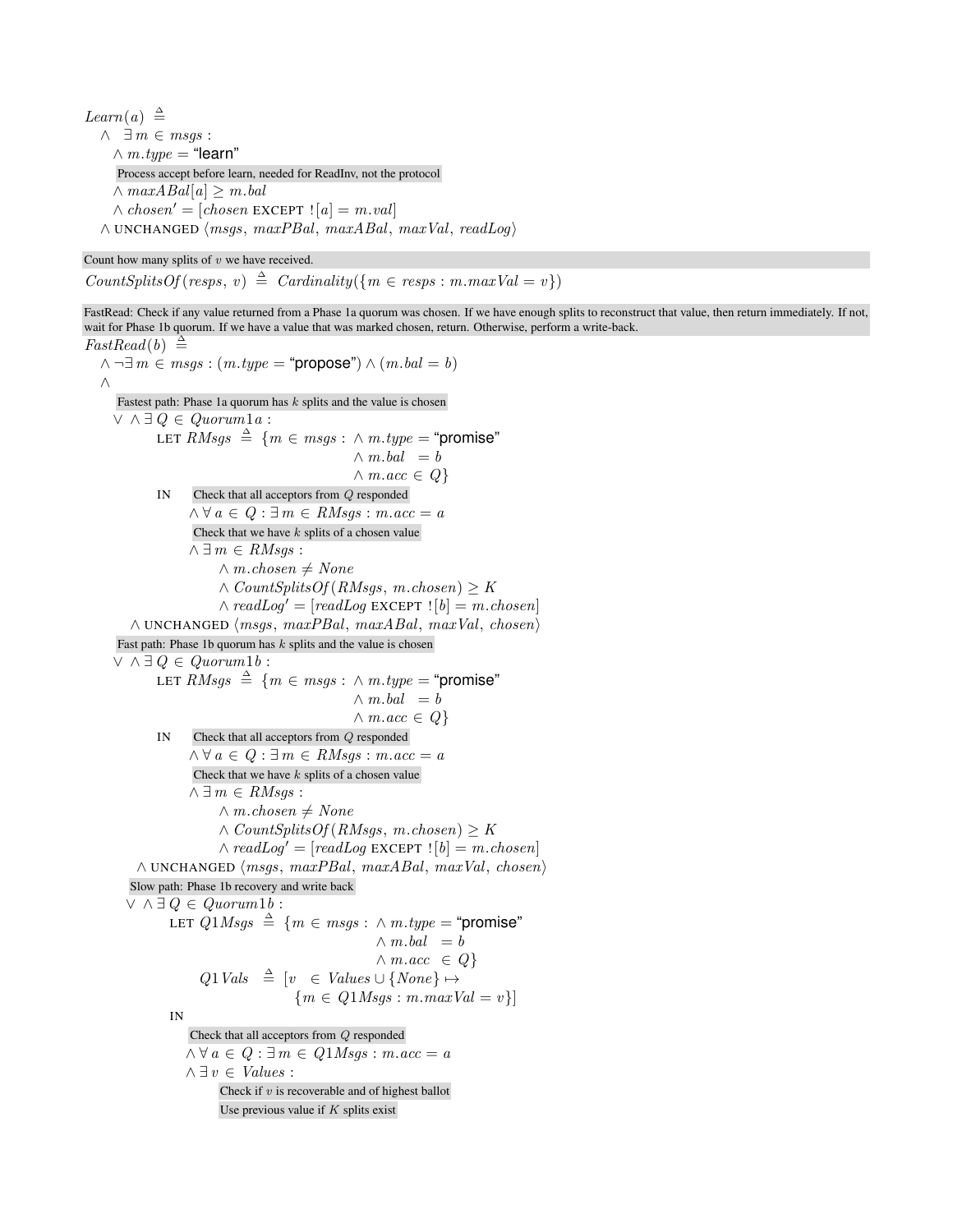$Learn(a) \triangleq$  $\wedge \ \exists m \in msgs$ :  $\wedge m.type = "learn"$ Process accept before learn, needed for ReadInv, not the protocol  $\land maxABal[a] \geq m.bal$  $\wedge chosen' = [chosen \, EXCEPT : [a] = m.val]$  $\land$  UNCHANGED  $\langle msgs, maxPBal, maxABal, maxVal, readLog \rangle$ 

```
Count how many splits of v we have received.
```
 $CountSplitsOf (resp, v) \triangleq Cardinality({m \in resps : m.maxVal = v})$ 

FastRead: Check if any value returned from a Phase 1a quorum was chosen. If we have enough splits to reconstruct that value, then return immediately. If not, wait for Phase 1b quorum. If we have a value that was marked chosen, return. Otherwise, perform a write-back.  $FastRead(b) \triangleq$ 

```
\land \neg \exists m \in msgs : (m.type = "propose") \land (m.bal = b)∧
   Fastest path: Phase 1a quorum has k splits and the value is chosen
  ∨ ∧ ∃ Q ∈ Quorum1a :
           LET RMsqs \triangleq \{m \in msgs : \wedge m.type = "promise"\wedge m \cdot bal = b\land m \cdot acc \in QIN Check that all acceptors from Q responded
                  \wedge \forall a \in Q : \exists m \in R M s s : m \ldotp ac \ldotp = aCheck that we have k splits of a chosen value
                  \wedge \exists m \in \mathit{R}Msgs:\land m.chosen \neq None
                        \land CountSplitsOf (RMsgs, m.chosen) \geq K\wedge \text{readLog'} = [\text{readLog EXCEPT} : [b] = m \text{.}\text{chosen}]\land UNCHANGED \langle msgs, \, maxPBal, \, maxABal, \, maxVal, \, chosen \rangleFast path: Phase 1b quorum has k splits and the value is chosen
  \vee \wedge \exists Q \in \mathit{Quorum1b}:
           LET RMSgs \triangleq \{m \in msgs : \wedge m.type = "promise" \}\wedge m \cdot bal = b\land m \cdot acc \in QIN Check that all acceptors from Q responded
                  \wedge \forall a \in Q : \exists m \in R M s s : m \ldotp acc = aCheck that we have k splits of a chosen value
                  \wedge \exists m \in \mathit{R} \mathit{M} \mathit{sgs}:
                        \land m.chosen \neq None
                        \land CountSplitsOf (RMsgs, m.chosen) \geq K\wedge \text{readLog}' = [\text{readLog EXCEPT} : [b] = m \text{.chosen}]\land UNCHANGED \langle msgs, maxPBal, maxABal, maxVal, chosen \rangleSlow path: Phase 1b recovery and write back
     \vee \wedge \exists Q \in \mathit{Quorum1b}:
              LET Q1Msgs \triangleq \{m \in msgs : \wedge m.\textit{type} = \text{``promise''}\}\wedge m \cdot bal = b\land m.ac \in Q}
                    Q1 \text{ Vals} \triangleq [v \in Values \cup \{None\} \mapsto{m \in Q1Msgs : m.maxVal = v}IN
                  Check that all acceptors from Q responded
                 \wedge \forall a \in Q : \exists m \in Q1Msgs : m.acc = a\land \exists v \in Values:Check if v is recoverable and of highest ballot
                         Use previous value if K splits exist
```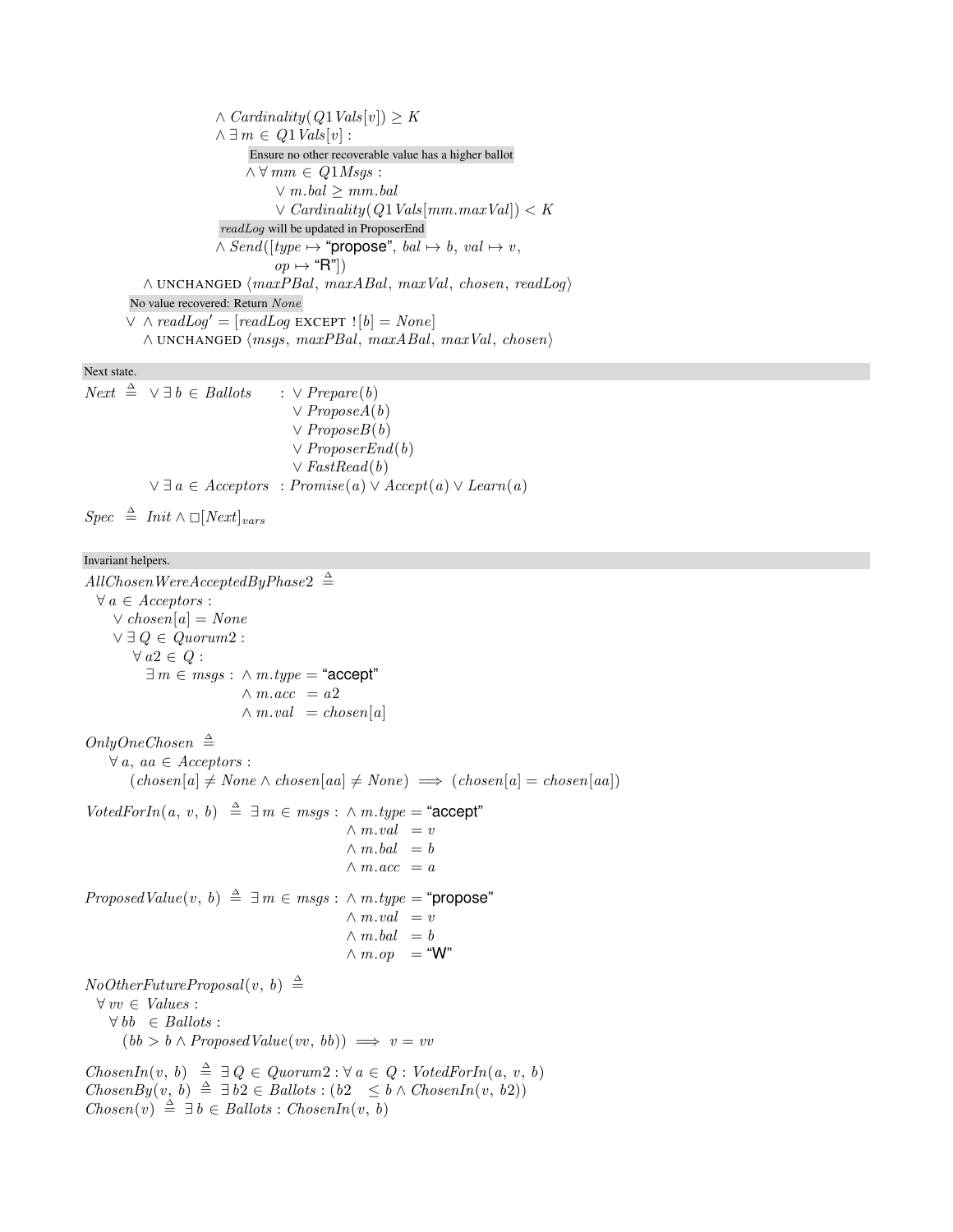$\wedge$  Cardinality  $(Q1$  Vals $[v]) \geq K$  $\wedge \exists m \in Q1$ Vals $[v]$ : Ensure no other recoverable value has a higher ballot  $\wedge \forall$  mm  $\in$  Q1Msgs :  $\vee$  m.bal > mm.bal  $\vee$  Cardinality(Q1 Vals[mm.maxVal]) < K readLog will be updated in ProposerEnd  $\land Send([type \mapsto "propose", bal \mapsto b, val \mapsto v,$  $op \mapsto$  "R"])  $\land$  UNCHANGED  $\langle maxPBal, maxABal, maxVal, chosen, readLog \rangle$ No value recovered: Return None  $∨ ∧ readLog' = [readLog EXCEPT : [b] = None]$  $\land$  UNCHANGED  $\langle msgs, maxPBal, maxABal, maxVal, chosen \rangle$ 

### Next state.

 $Next \triangleq \lor \exists b \in Ballots \quad : \lor Prepare(b)$ ∨ ProposeA(b)  $\vee$  ProposeB $(b)$  $\vee$  ProposerEnd(b)  $\vee$  FastRead(b)  $\vee \exists a \in Acceptors : Promise(a) \vee Accept(a) \vee Learn(a)$ 

 $Spec \triangleq Init \wedge \Box [Next]_{vars}$ 

#### Invariant helpers.

 $AllChosenWereAcceptedByPhase 2 \triangleq$  $\forall a \in \mathit{Acceptors}$ :  $\vee$  chosen[a] = None  $\vee \exists Q \in \mathit{Quorum2}$ :  $\forall a2 \in Q:$  $\exists m \in msgs : \land m.type = "accept"$  $\wedge m \ldotp acc = a2$  $\wedge m.val = chosen[a]$  $OnluOneChosen \triangleq$  $\forall a, aa \in Acceptors:$  $(chosen[a] \neq None \land chosen[aa] \neq None) \implies (chosen[a] = chosen[aa])$  $VotedForIn(a, v, b) \triangleq \exists m \in msgs : \land m.type = "accept"$  $\wedge m.val = v$  $\wedge m.bal = b$  $\wedge m \ldotp acc = a$  $ProposedValue(v, b) \triangleq \exists m \in msgs : \land m.type = "propose"$  $\wedge m.val = v$  $\wedge m \cdot bal = b$  $\wedge m.op = \text{``W''}$  $NoOtherFutureProposal(v, b) \triangleq$  $\forall vv \in Values:$  $\forall bb \in Ballots$ :  $(bb > b \land ProposedValue(vv, bb)) \implies v = vv$  $ChosenIn(v, b) \triangleq \exists Q \in Quorum2 : \forall a \in Q : VotedForIn(a, v, b)$  $ChosenBy(v, b) \triangleq \exists b2 \in Ballots : (b2 \leq b \land ChosenIn(v, b2))$  $Chosen(v) \triangleq \exists b \in Ballots : ChosenIn(v, b)$